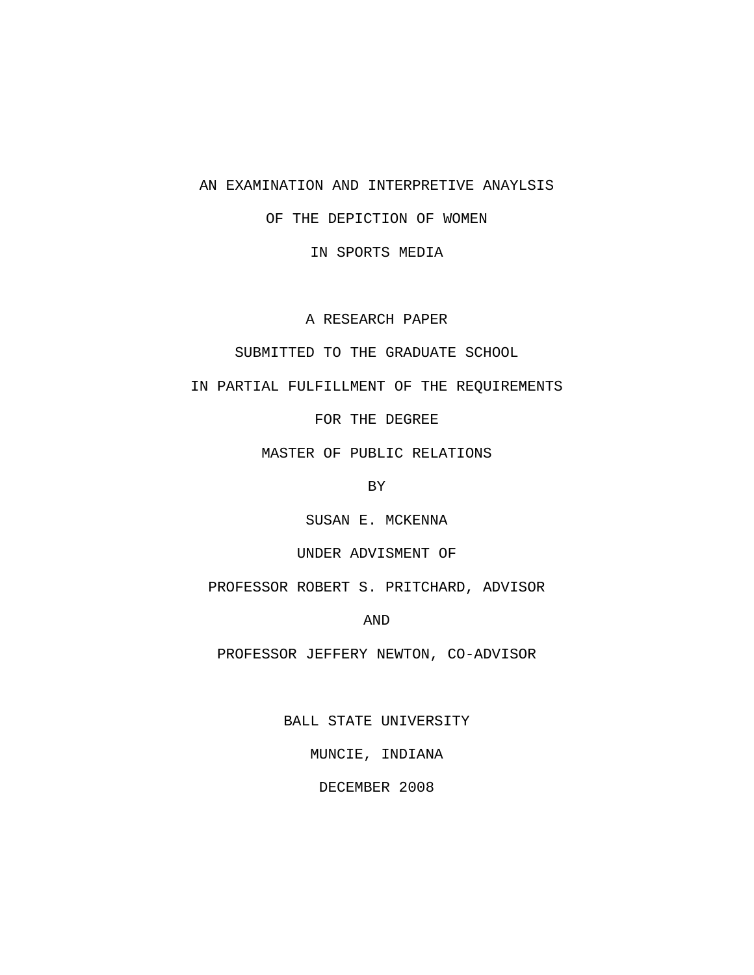# AN EXAMINATION AND INTERPRETIVE ANAYLSIS

# OF THE DEPICTION OF WOMEN

IN SPORTS MEDIA

A RESEARCH PAPER

# SUBMITTED TO THE GRADUATE SCHOOL

IN PARTIAL FULFILLMENT OF THE REQUIREMENTS

FOR THE DEGREE

MASTER OF PUBLIC RELATIONS

BY

SUSAN E. MCKENNA

## UNDER ADVISMENT OF

PROFESSOR ROBERT S. PRITCHARD, ADVISOR

AND

PROFESSOR JEFFERY NEWTON, CO-ADVISOR

BALL STATE UNIVERSITY

MUNCIE, INDIANA

DECEMBER 2008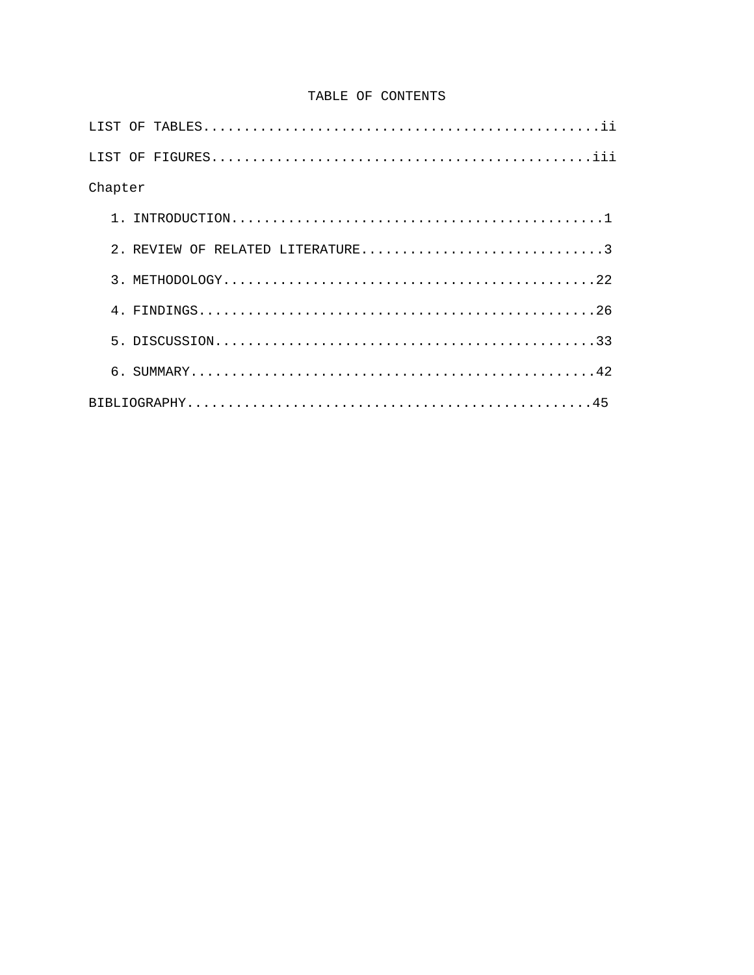# TABLE OF CONTENTS

| Chapter                          |
|----------------------------------|
|                                  |
| 2. REVIEW OF RELATED LITERATURE3 |
|                                  |
|                                  |
|                                  |
|                                  |
|                                  |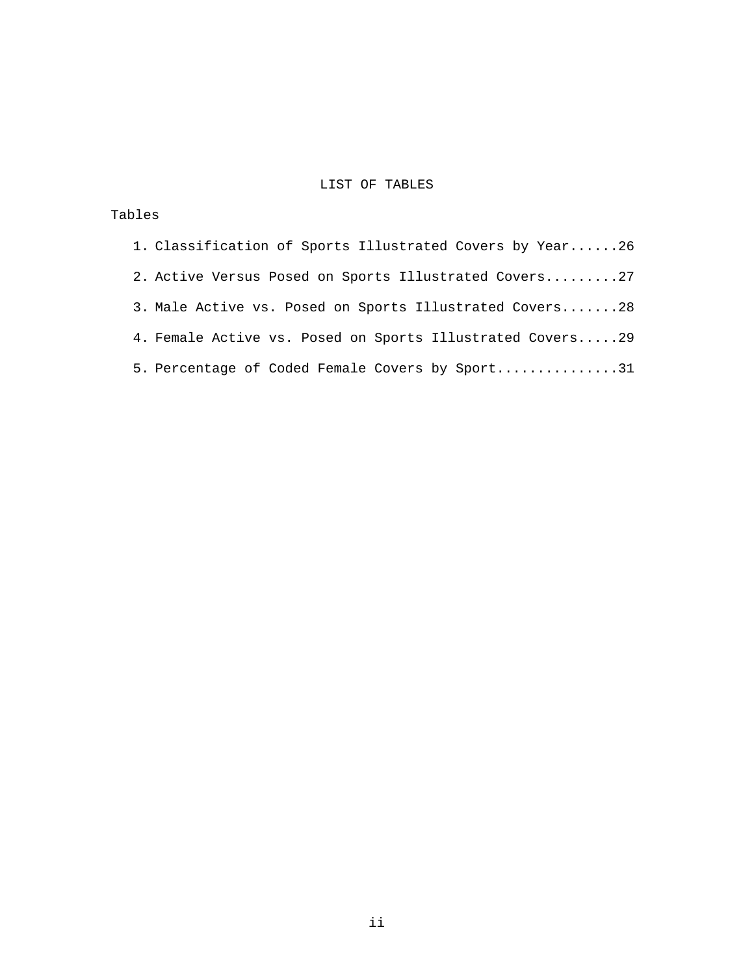# LIST OF TABLES

# Tables

| 1. Classification of Sports Illustrated Covers by Year26  |
|-----------------------------------------------------------|
| 2. Active Versus Posed on Sports Illustrated Covers27     |
| 3. Male Active vs. Posed on Sports Illustrated Covers28   |
| 4. Female Active vs. Posed on Sports Illustrated Covers29 |
| 5. Percentage of Coded Female Covers by Sport31           |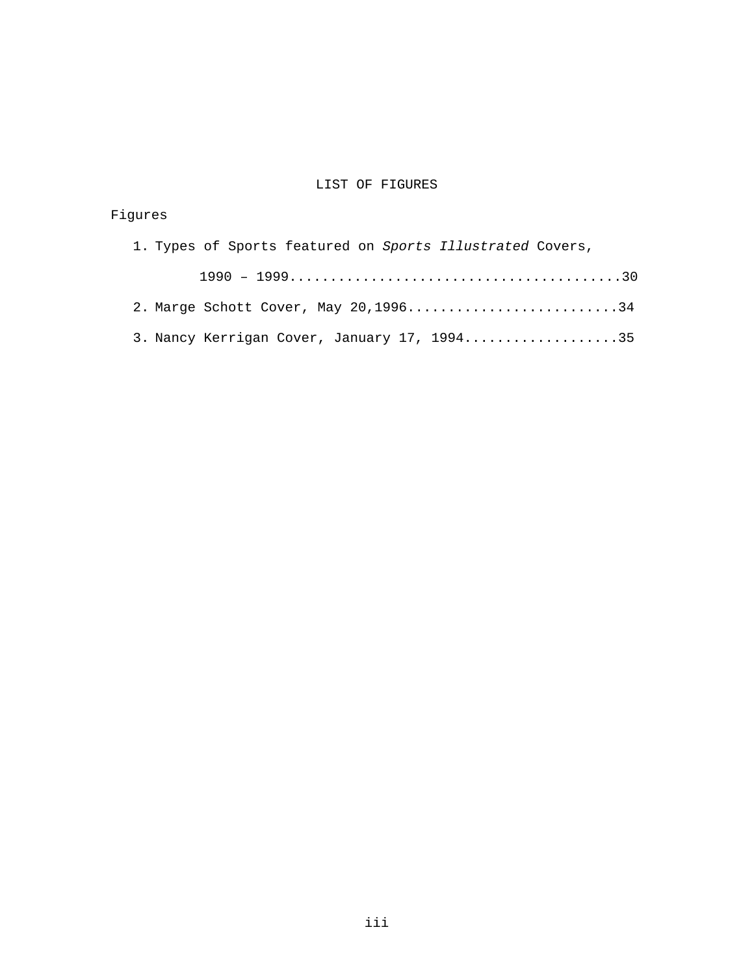# LIST OF FIGURES

# Figures 1. Types of Sports featured on *Sports Illustrated* Covers, 1990 – 1999.........................................30 2. Marge Schott Cover, May 20,1996.............................34 3. Nancy Kerrigan Cover, January 17, 1994.....................35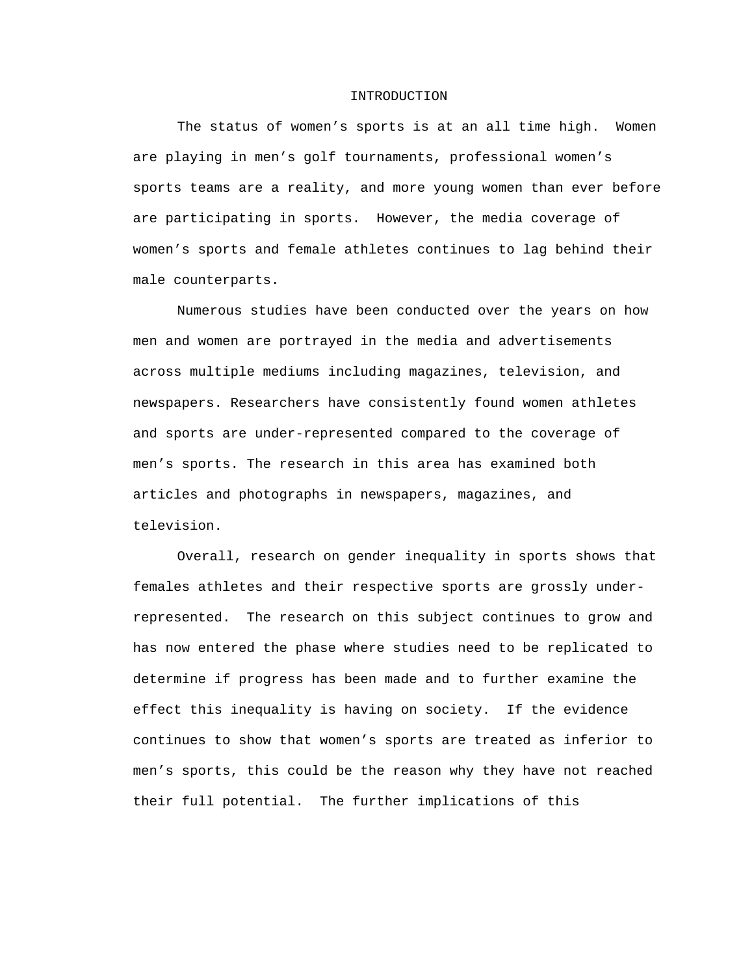#### INTRODUCTION

The status of women's sports is at an all time high. Women are playing in men's golf tournaments, professional women's sports teams are a reality, and more young women than ever before are participating in sports. However, the media coverage of women's sports and female athletes continues to lag behind their male counterparts.

Numerous studies have been conducted over the years on how men and women are portrayed in the media and advertisements across multiple mediums including magazines, television, and newspapers. Researchers have consistently found women athletes and sports are under-represented compared to the coverage of men's sports. The research in this area has examined both articles and photographs in newspapers, magazines, and television.

Overall, research on gender inequality in sports shows that females athletes and their respective sports are grossly underrepresented. The research on this subject continues to grow and has now entered the phase where studies need to be replicated to determine if progress has been made and to further examine the effect this inequality is having on society. If the evidence continues to show that women's sports are treated as inferior to men's sports, this could be the reason why they have not reached their full potential. The further implications of this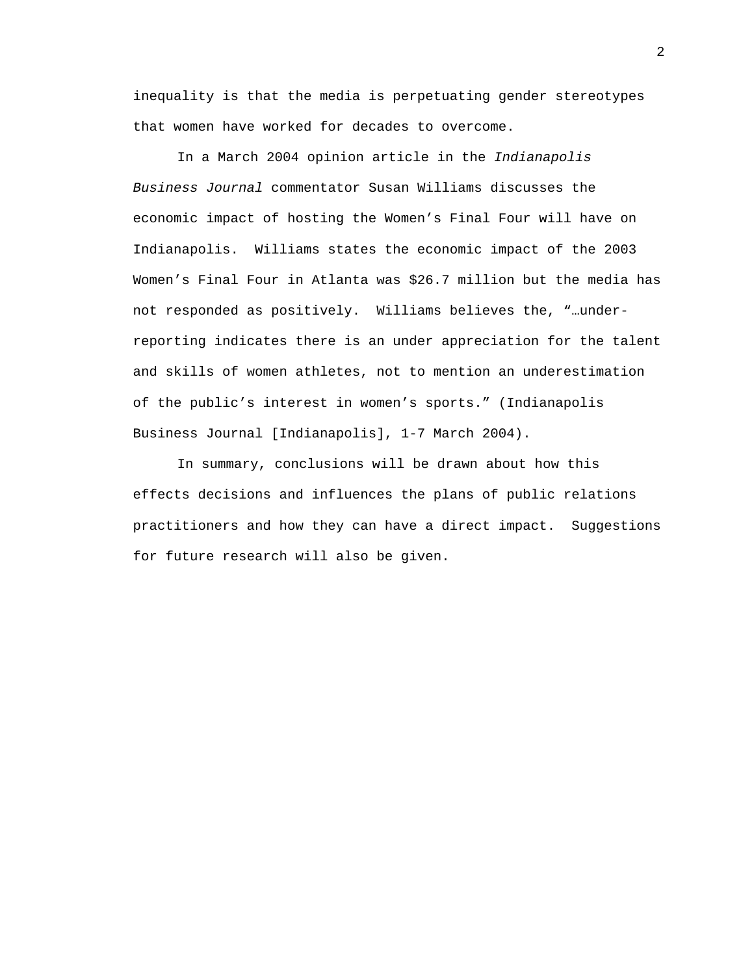inequality is that the media is perpetuating gender stereotypes that women have worked for decades to overcome.

In a March 2004 opinion article in the *Indianapolis Business Journal* commentator Susan Williams discusses the economic impact of hosting the Women's Final Four will have on Indianapolis. Williams states the economic impact of the 2003 Women's Final Four in Atlanta was \$26.7 million but the media has not responded as positively. Williams believes the, "…underreporting indicates there is an under appreciation for the talent and skills of women athletes, not to mention an underestimation of the public's interest in women's sports." (Indianapolis Business Journal [Indianapolis], 1-7 March 2004).

In summary, conclusions will be drawn about how this effects decisions and influences the plans of public relations practitioners and how they can have a direct impact. Suggestions for future research will also be given.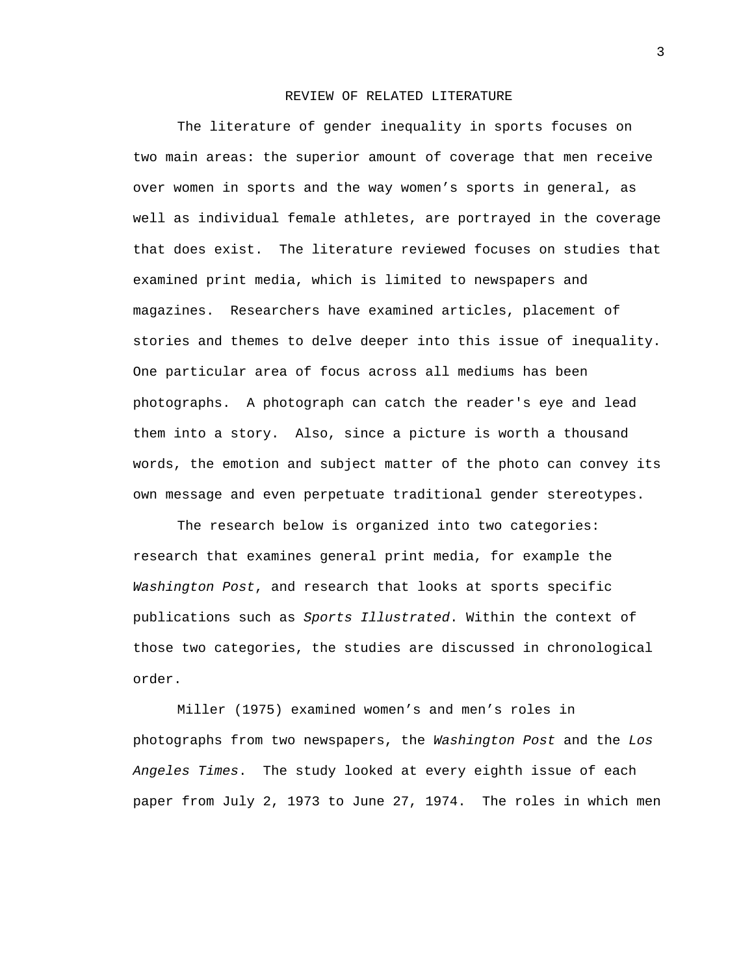## REVIEW OF RELATED LITERATURE

The literature of gender inequality in sports focuses on two main areas: the superior amount of coverage that men receive over women in sports and the way women's sports in general, as well as individual female athletes, are portrayed in the coverage that does exist. The literature reviewed focuses on studies that examined print media, which is limited to newspapers and magazines. Researchers have examined articles, placement of stories and themes to delve deeper into this issue of inequality. One particular area of focus across all mediums has been photographs. A photograph can catch the reader's eye and lead them into a story. Also, since a picture is worth a thousand words, the emotion and subject matter of the photo can convey its own message and even perpetuate traditional gender stereotypes.

The research below is organized into two categories: research that examines general print media, for example the *Washington Post*, and research that looks at sports specific publications such as *Sports Illustrated*. Within the context of those two categories, the studies are discussed in chronological order.

Miller (1975) examined women's and men's roles in photographs from two newspapers, the *Washington Post* and the *Los Angeles Times*. The study looked at every eighth issue of each paper from July 2, 1973 to June 27, 1974. The roles in which men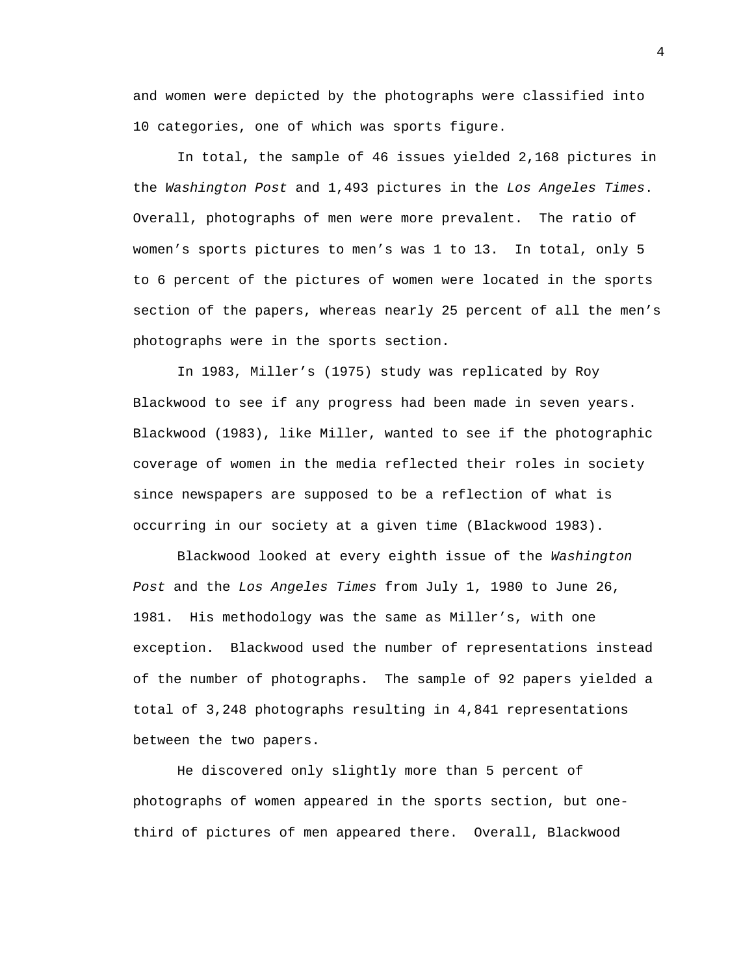and women were depicted by the photographs were classified into 10 categories, one of which was sports figure.

 In total, the sample of 46 issues yielded 2,168 pictures in the *Washington Post* and 1,493 pictures in the *Los Angeles Times*. Overall, photographs of men were more prevalent. The ratio of women's sports pictures to men's was 1 to 13. In total, only 5 to 6 percent of the pictures of women were located in the sports section of the papers, whereas nearly 25 percent of all the men's photographs were in the sports section.

 In 1983, Miller's (1975) study was replicated by Roy Blackwood to see if any progress had been made in seven years. Blackwood (1983), like Miller, wanted to see if the photographic coverage of women in the media reflected their roles in society since newspapers are supposed to be a reflection of what is occurring in our society at a given time (Blackwood 1983).

 Blackwood looked at every eighth issue of the *Washington Post* and the *Los Angeles Times* from July 1, 1980 to June 26, 1981. His methodology was the same as Miller's, with one exception. Blackwood used the number of representations instead of the number of photographs. The sample of 92 papers yielded a total of 3,248 photographs resulting in 4,841 representations between the two papers.

 He discovered only slightly more than 5 percent of photographs of women appeared in the sports section, but onethird of pictures of men appeared there. Overall, Blackwood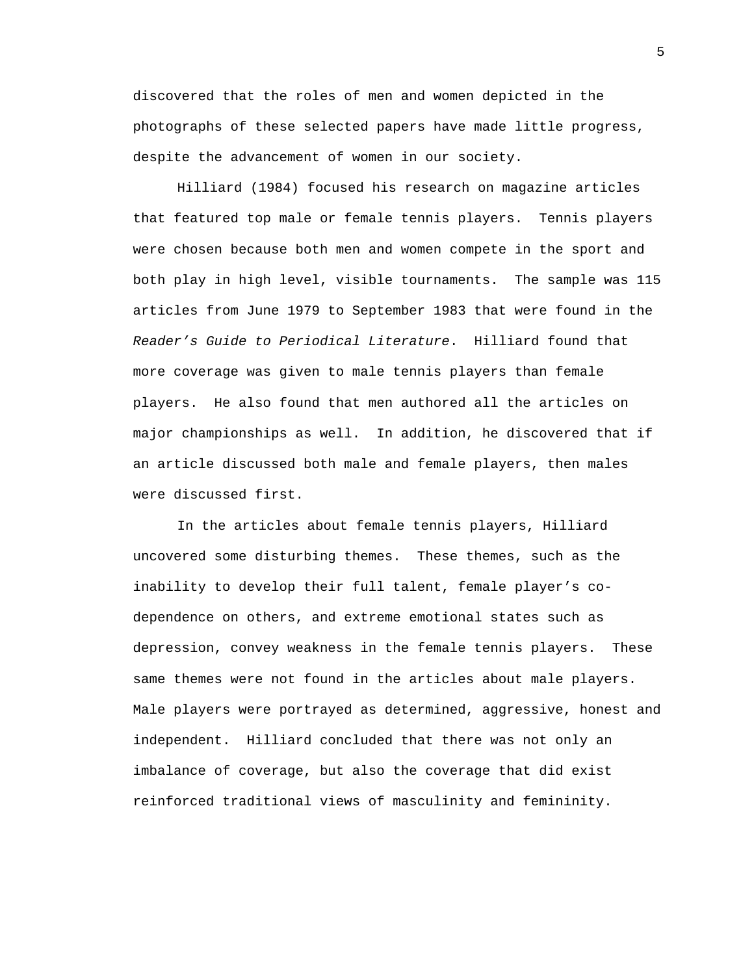discovered that the roles of men and women depicted in the photographs of these selected papers have made little progress, despite the advancement of women in our society.

 Hilliard (1984) focused his research on magazine articles that featured top male or female tennis players. Tennis players were chosen because both men and women compete in the sport and both play in high level, visible tournaments. The sample was 115 articles from June 1979 to September 1983 that were found in the *Reader's Guide to Periodical Literature*. Hilliard found that more coverage was given to male tennis players than female players. He also found that men authored all the articles on major championships as well. In addition, he discovered that if an article discussed both male and female players, then males were discussed first.

 In the articles about female tennis players, Hilliard uncovered some disturbing themes. These themes, such as the inability to develop their full talent, female player's codependence on others, and extreme emotional states such as depression, convey weakness in the female tennis players. These same themes were not found in the articles about male players. Male players were portrayed as determined, aggressive, honest and independent. Hilliard concluded that there was not only an imbalance of coverage, but also the coverage that did exist reinforced traditional views of masculinity and femininity.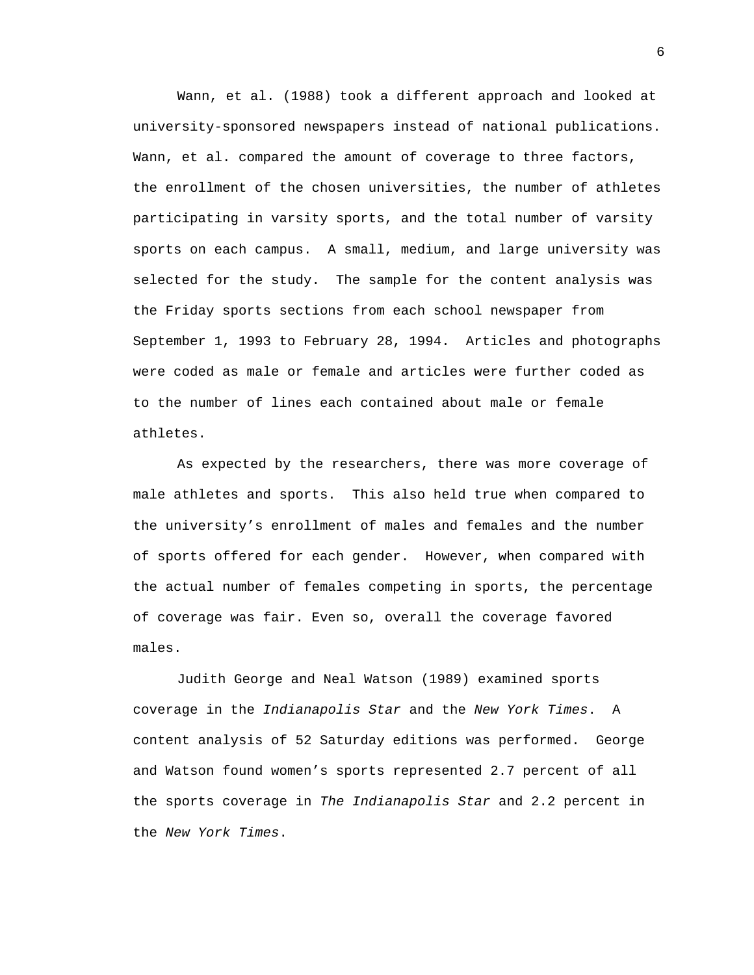Wann, et al. (1988) took a different approach and looked at university-sponsored newspapers instead of national publications. Wann, et al. compared the amount of coverage to three factors, the enrollment of the chosen universities, the number of athletes participating in varsity sports, and the total number of varsity sports on each campus. A small, medium, and large university was selected for the study. The sample for the content analysis was the Friday sports sections from each school newspaper from September 1, 1993 to February 28, 1994. Articles and photographs were coded as male or female and articles were further coded as to the number of lines each contained about male or female athletes.

 As expected by the researchers, there was more coverage of male athletes and sports. This also held true when compared to the university's enrollment of males and females and the number of sports offered for each gender. However, when compared with the actual number of females competing in sports, the percentage of coverage was fair. Even so, overall the coverage favored males.

 Judith George and Neal Watson (1989) examined sports coverage in the *Indianapolis Star* and the *New York Times*. A content analysis of 52 Saturday editions was performed. George and Watson found women's sports represented 2.7 percent of all the sports coverage in *The Indianapolis Star* and 2.2 percent in the *New York Times*.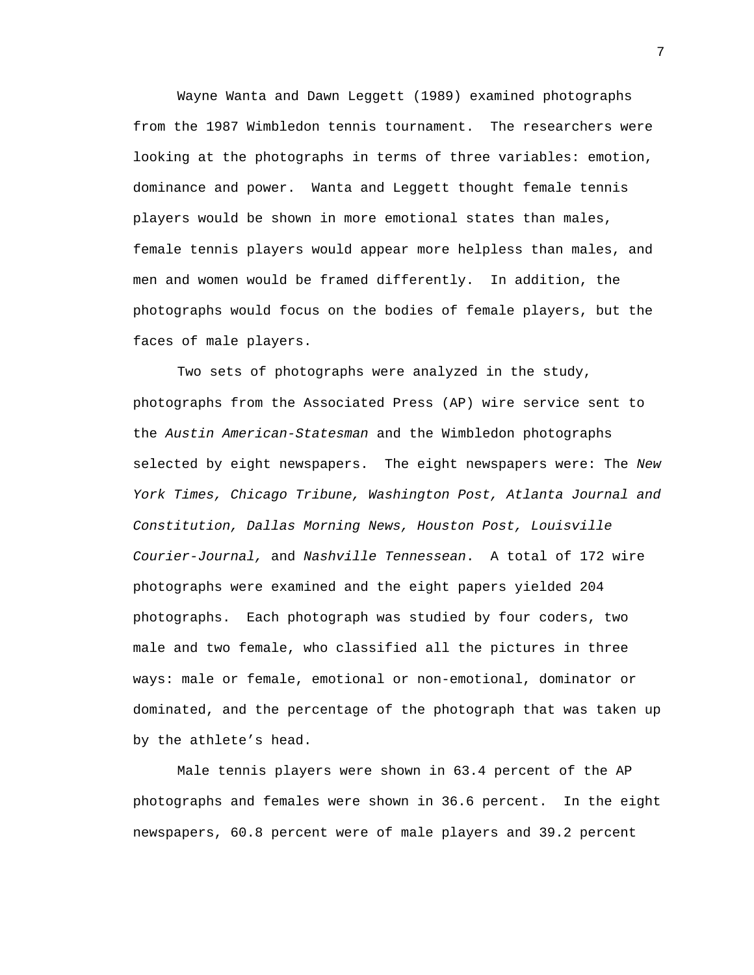Wayne Wanta and Dawn Leggett (1989) examined photographs from the 1987 Wimbledon tennis tournament. The researchers were looking at the photographs in terms of three variables: emotion, dominance and power. Wanta and Leggett thought female tennis players would be shown in more emotional states than males, female tennis players would appear more helpless than males, and men and women would be framed differently. In addition, the photographs would focus on the bodies of female players, but the faces of male players.

 Two sets of photographs were analyzed in the study, photographs from the Associated Press (AP) wire service sent to the *Austin American-Statesman* and the Wimbledon photographs selected by eight newspapers. The eight newspapers were: The *New York Times, Chicago Tribune, Washington Post, Atlanta Journal and Constitution, Dallas Morning News, Houston Post, Louisville Courier-Journal,* and *Nashville Tennessean*. A total of 172 wire photographs were examined and the eight papers yielded 204 photographs. Each photograph was studied by four coders, two male and two female, who classified all the pictures in three ways: male or female, emotional or non-emotional, dominator or dominated, and the percentage of the photograph that was taken up by the athlete's head.

 Male tennis players were shown in 63.4 percent of the AP photographs and females were shown in 36.6 percent. In the eight newspapers, 60.8 percent were of male players and 39.2 percent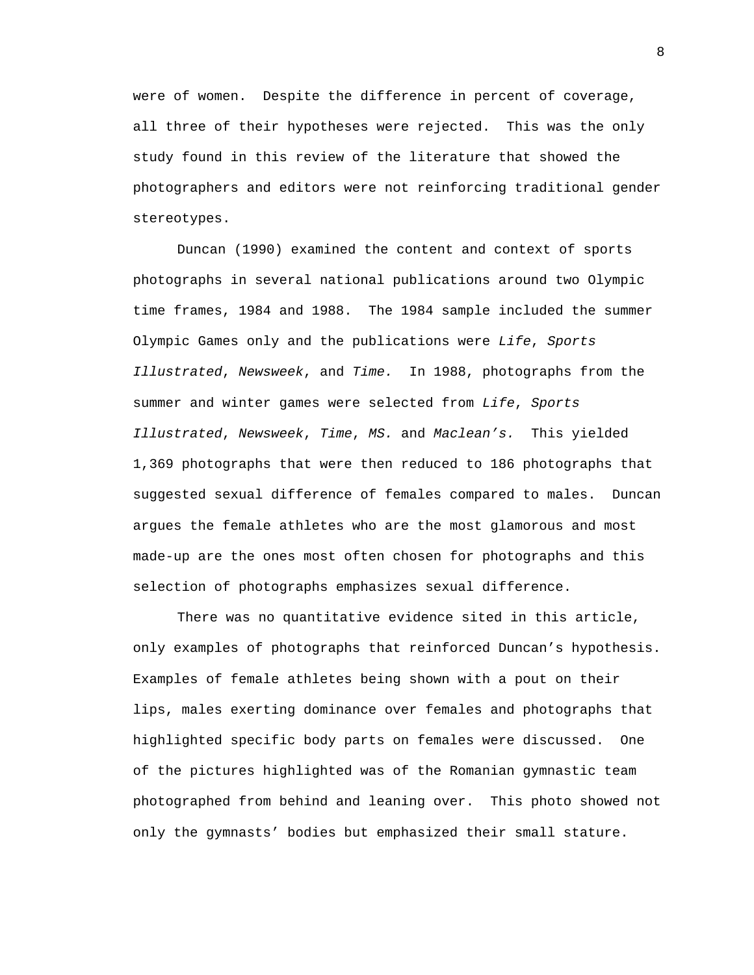were of women. Despite the difference in percent of coverage, all three of their hypotheses were rejected. This was the only study found in this review of the literature that showed the photographers and editors were not reinforcing traditional gender stereotypes.

Duncan (1990) examined the content and context of sports photographs in several national publications around two Olympic time frames, 1984 and 1988. The 1984 sample included the summer Olympic Games only and the publications were *Life*, *Sports Illustrated*, *Newsweek*, and *Time.* In 1988, photographs from the summer and winter games were selected from *Life*, *Sports Illustrated*, *Newsweek*, *Time*, *MS.* and *Maclean's.* This yielded 1,369 photographs that were then reduced to 186 photographs that suggested sexual difference of females compared to males. Duncan argues the female athletes who are the most glamorous and most made-up are the ones most often chosen for photographs and this selection of photographs emphasizes sexual difference.

There was no quantitative evidence sited in this article, only examples of photographs that reinforced Duncan's hypothesis. Examples of female athletes being shown with a pout on their lips, males exerting dominance over females and photographs that highlighted specific body parts on females were discussed. One of the pictures highlighted was of the Romanian gymnastic team photographed from behind and leaning over. This photo showed not only the gymnasts' bodies but emphasized their small stature.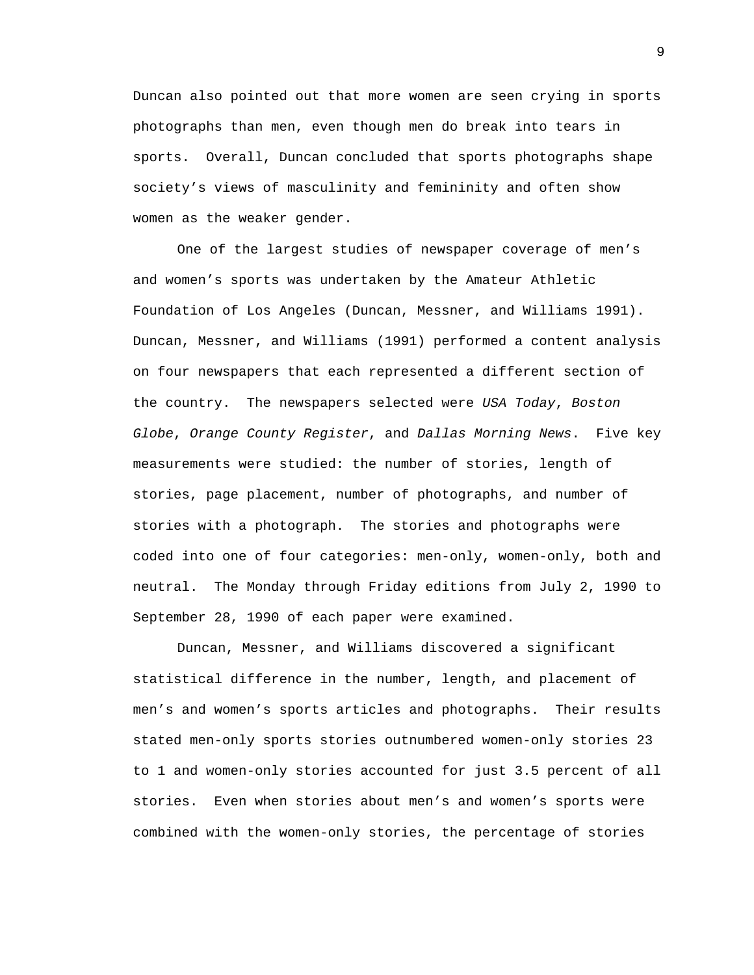Duncan also pointed out that more women are seen crying in sports photographs than men, even though men do break into tears in sports. Overall, Duncan concluded that sports photographs shape society's views of masculinity and femininity and often show women as the weaker gender.

One of the largest studies of newspaper coverage of men's and women's sports was undertaken by the Amateur Athletic Foundation of Los Angeles (Duncan, Messner, and Williams 1991). Duncan, Messner, and Williams (1991) performed a content analysis on four newspapers that each represented a different section of the country. The newspapers selected were *USA Today*, *Boston Globe*, *Orange County Register*, and *Dallas Morning News*. Five key measurements were studied: the number of stories, length of stories, page placement, number of photographs, and number of stories with a photograph. The stories and photographs were coded into one of four categories: men-only, women-only, both and neutral. The Monday through Friday editions from July 2, 1990 to September 28, 1990 of each paper were examined.

Duncan, Messner, and Williams discovered a significant statistical difference in the number, length, and placement of men's and women's sports articles and photographs. Their results stated men-only sports stories outnumbered women-only stories 23 to 1 and women-only stories accounted for just 3.5 percent of all stories. Even when stories about men's and women's sports were combined with the women-only stories, the percentage of stories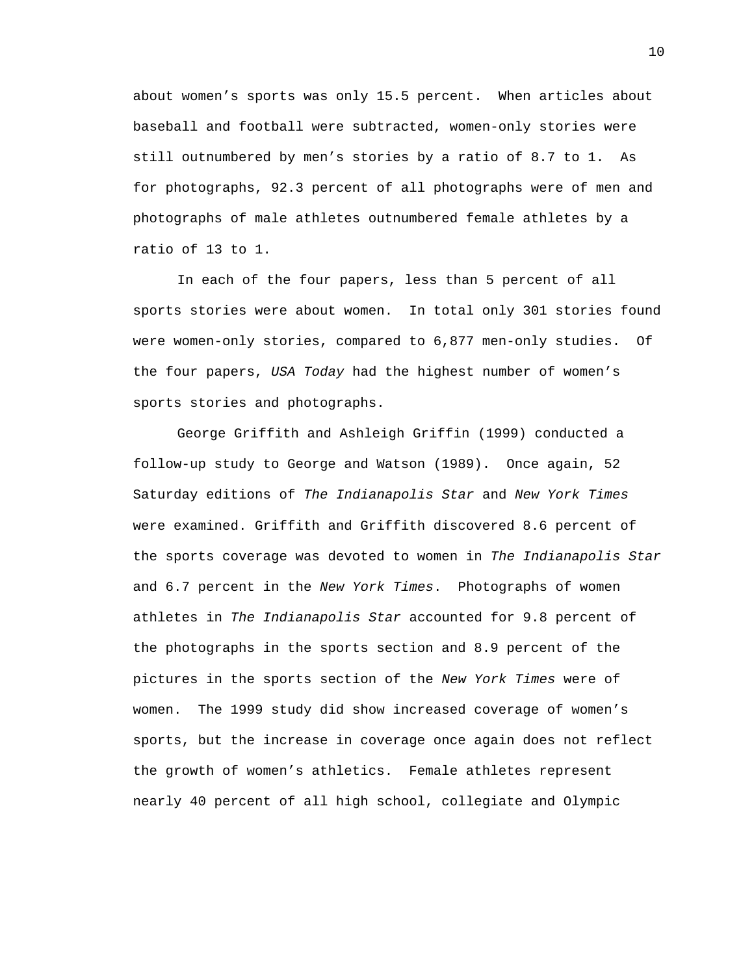about women's sports was only 15.5 percent. When articles about baseball and football were subtracted, women-only stories were still outnumbered by men's stories by a ratio of 8.7 to 1. As for photographs, 92.3 percent of all photographs were of men and photographs of male athletes outnumbered female athletes by a ratio of 13 to 1.

In each of the four papers, less than 5 percent of all sports stories were about women. In total only 301 stories found were women-only stories, compared to 6,877 men-only studies. Of the four papers, *USA Today* had the highest number of women's sports stories and photographs.

George Griffith and Ashleigh Griffin (1999) conducted a follow-up study to George and Watson (1989). Once again, 52 Saturday editions of *The Indianapolis Star* and *New York Times* were examined. Griffith and Griffith discovered 8.6 percent of the sports coverage was devoted to women in *The Indianapolis Star* and 6.7 percent in the *New York Times*. Photographs of women athletes in *The Indianapolis Star* accounted for 9.8 percent of the photographs in the sports section and 8.9 percent of the pictures in the sports section of the *New York Times* were of women. The 1999 study did show increased coverage of women's sports, but the increase in coverage once again does not reflect the growth of women's athletics. Female athletes represent nearly 40 percent of all high school, collegiate and Olympic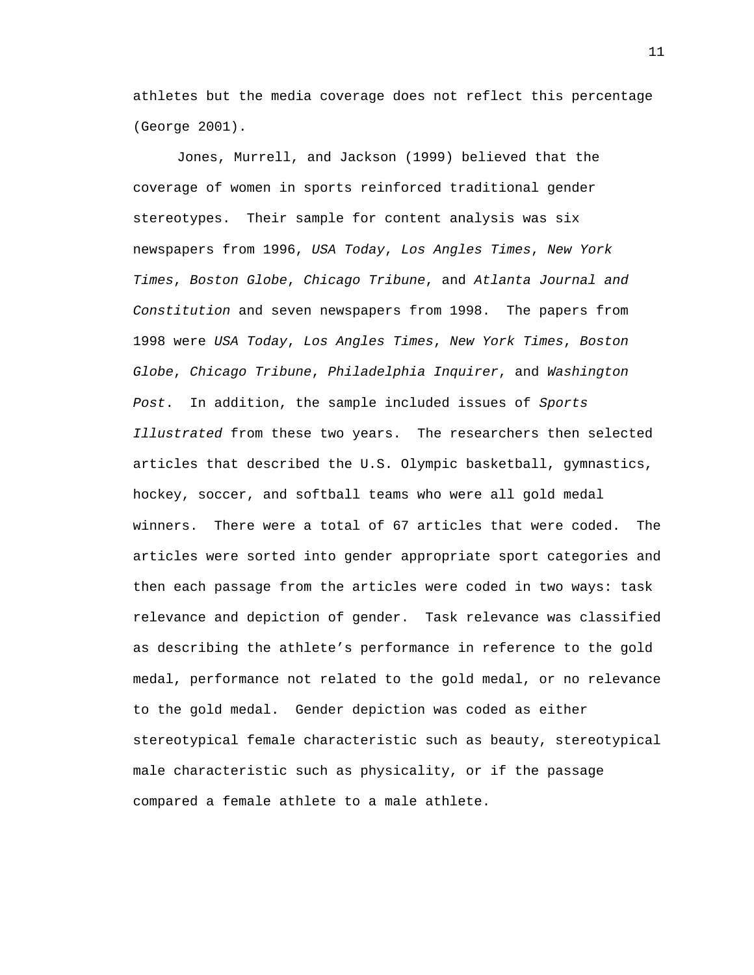athletes but the media coverage does not reflect this percentage (George 2001).

 Jones, Murrell, and Jackson (1999) believed that the coverage of women in sports reinforced traditional gender stereotypes. Their sample for content analysis was six newspapers from 1996, *USA Today*, *Los Angles Times*, *New York Times*, *Boston Globe*, *Chicago Tribune*, and *Atlanta Journal and Constitution* and seven newspapers from 1998. The papers from 1998 were *USA Today*, *Los Angles Times*, *New York Times*, *Boston Globe*, *Chicago Tribune*, *Philadelphia Inquirer*, and *Washington Post*. In addition, the sample included issues of *Sports Illustrated* from these two years. The researchers then selected articles that described the U.S. Olympic basketball, gymnastics, hockey, soccer, and softball teams who were all gold medal winners. There were a total of 67 articles that were coded. The articles were sorted into gender appropriate sport categories and then each passage from the articles were coded in two ways: task relevance and depiction of gender. Task relevance was classified as describing the athlete's performance in reference to the gold medal, performance not related to the gold medal, or no relevance to the gold medal. Gender depiction was coded as either stereotypical female characteristic such as beauty, stereotypical male characteristic such as physicality, or if the passage compared a female athlete to a male athlete.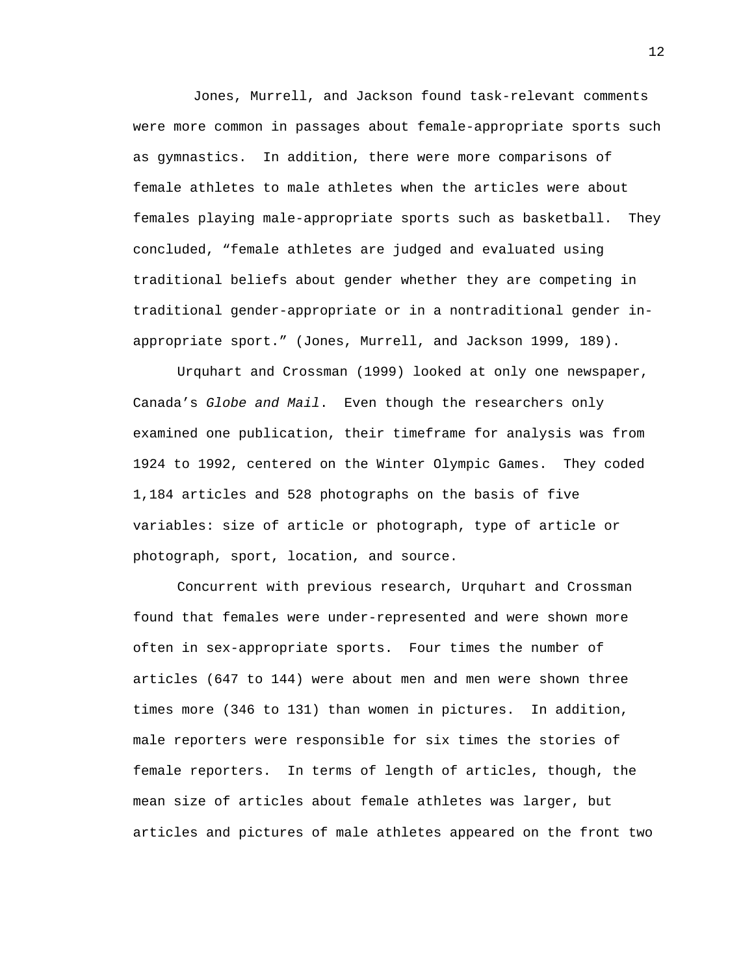Jones, Murrell, and Jackson found task-relevant comments were more common in passages about female-appropriate sports such as gymnastics. In addition, there were more comparisons of female athletes to male athletes when the articles were about females playing male-appropriate sports such as basketball. They concluded, "female athletes are judged and evaluated using traditional beliefs about gender whether they are competing in traditional gender-appropriate or in a nontraditional gender inappropriate sport." (Jones, Murrell, and Jackson 1999, 189).

 Urquhart and Crossman (1999) looked at only one newspaper, Canada's *Globe and Mail*. Even though the researchers only examined one publication, their timeframe for analysis was from 1924 to 1992, centered on the Winter Olympic Games. They coded 1,184 articles and 528 photographs on the basis of five variables: size of article or photograph, type of article or photograph, sport, location, and source.

Concurrent with previous research, Urquhart and Crossman found that females were under-represented and were shown more often in sex-appropriate sports. Four times the number of articles (647 to 144) were about men and men were shown three times more (346 to 131) than women in pictures. In addition, male reporters were responsible for six times the stories of female reporters. In terms of length of articles, though, the mean size of articles about female athletes was larger, but articles and pictures of male athletes appeared on the front two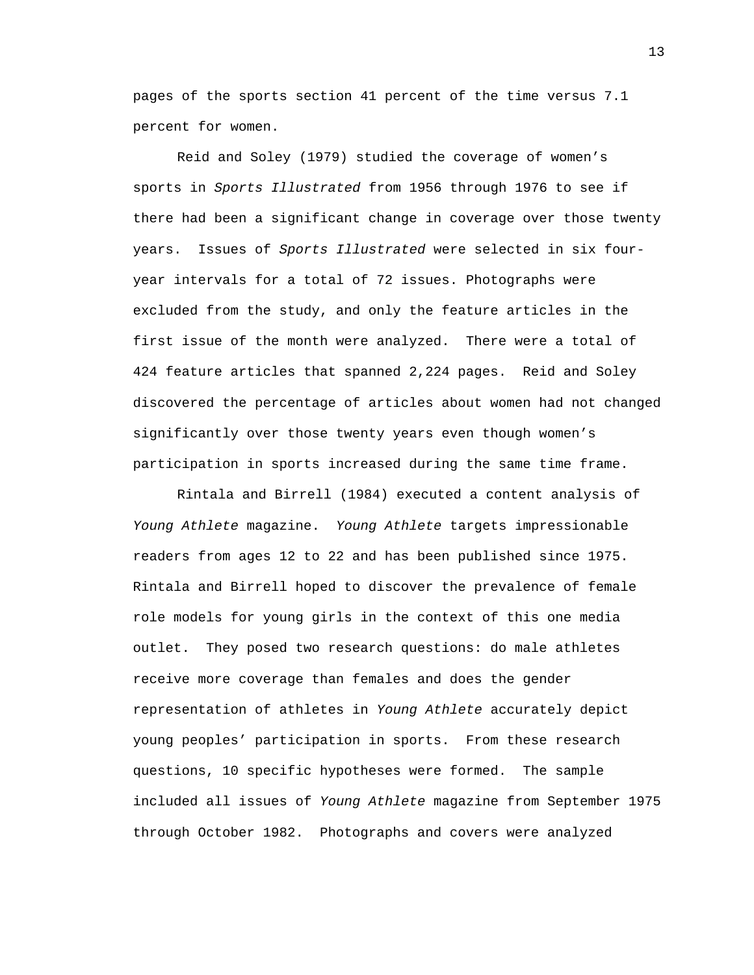pages of the sports section 41 percent of the time versus 7.1 percent for women.

Reid and Soley (1979) studied the coverage of women's sports in *Sports Illustrated* from 1956 through 1976 to see if there had been a significant change in coverage over those twenty years. Issues of *Sports Illustrated* were selected in six fouryear intervals for a total of 72 issues. Photographs were excluded from the study, and only the feature articles in the first issue of the month were analyzed. There were a total of 424 feature articles that spanned 2,224 pages. Reid and Soley discovered the percentage of articles about women had not changed significantly over those twenty years even though women's participation in sports increased during the same time frame.

Rintala and Birrell (1984) executed a content analysis of *Young Athlete* magazine. *Young Athlete* targets impressionable readers from ages 12 to 22 and has been published since 1975. Rintala and Birrell hoped to discover the prevalence of female role models for young girls in the context of this one media outlet. They posed two research questions: do male athletes receive more coverage than females and does the gender representation of athletes in *Young Athlete* accurately depict young peoples' participation in sports. From these research questions, 10 specific hypotheses were formed. The sample included all issues of *Young Athlete* magazine from September 1975 through October 1982. Photographs and covers were analyzed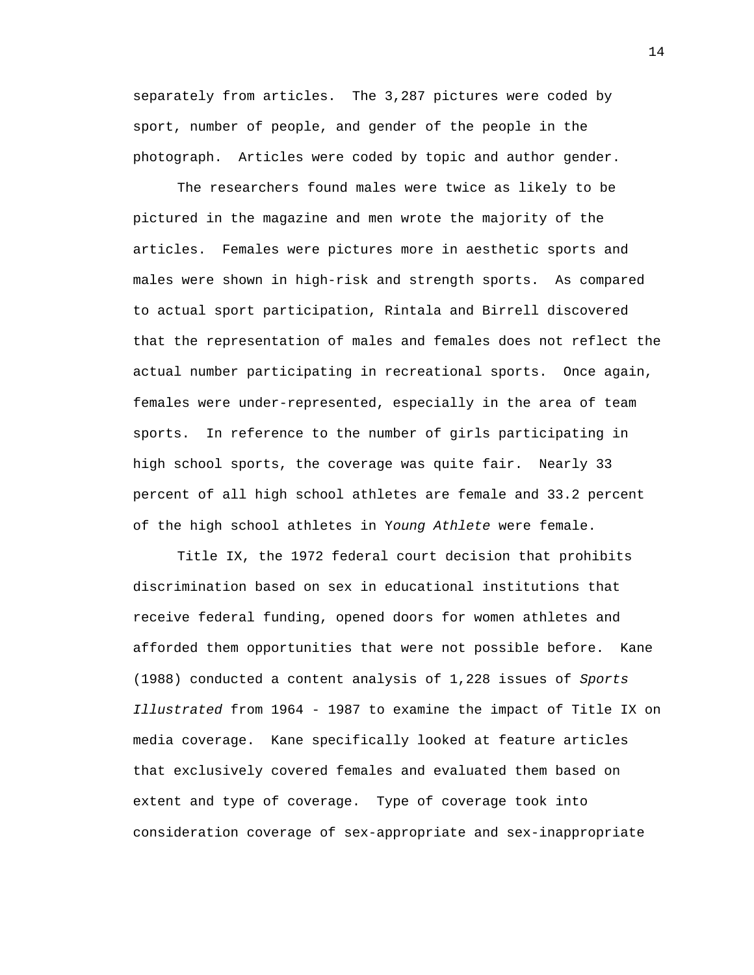separately from articles. The 3,287 pictures were coded by sport, number of people, and gender of the people in the photograph. Articles were coded by topic and author gender.

The researchers found males were twice as likely to be pictured in the magazine and men wrote the majority of the articles. Females were pictures more in aesthetic sports and males were shown in high-risk and strength sports. As compared to actual sport participation, Rintala and Birrell discovered that the representation of males and females does not reflect the actual number participating in recreational sports. Once again, females were under-represented, especially in the area of team sports. In reference to the number of girls participating in high school sports, the coverage was quite fair. Nearly 33 percent of all high school athletes are female and 33.2 percent of the high school athletes in Y*oung Athlete* were female.

Title IX, the 1972 federal court decision that prohibits discrimination based on sex in educational institutions that receive federal funding, opened doors for women athletes and afforded them opportunities that were not possible before. Kane (1988) conducted a content analysis of 1,228 issues of *Sports Illustrated* from 1964 - 1987 to examine the impact of Title IX on media coverage. Kane specifically looked at feature articles that exclusively covered females and evaluated them based on extent and type of coverage. Type of coverage took into consideration coverage of sex-appropriate and sex-inappropriate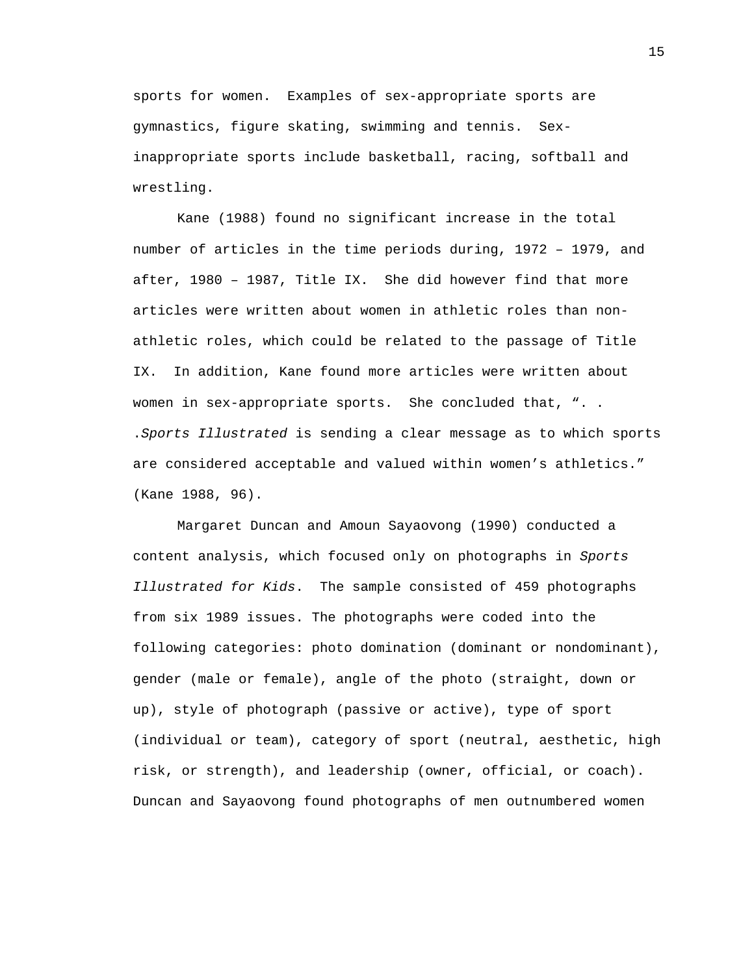sports for women. Examples of sex-appropriate sports are gymnastics, figure skating, swimming and tennis. Sexinappropriate sports include basketball, racing, softball and wrestling.

Kane (1988) found no significant increase in the total number of articles in the time periods during, 1972 – 1979, and after, 1980 – 1987, Title IX. She did however find that more articles were written about women in athletic roles than nonathletic roles, which could be related to the passage of Title IX. In addition, Kane found more articles were written about women in sex-appropriate sports. She concluded that, ". . .*Sports Illustrated* is sending a clear message as to which sports are considered acceptable and valued within women's athletics." (Kane 1988, 96).

Margaret Duncan and Amoun Sayaovong (1990) conducted a content analysis, which focused only on photographs in *Sports Illustrated for Kids*. The sample consisted of 459 photographs from six 1989 issues. The photographs were coded into the following categories: photo domination (dominant or nondominant), gender (male or female), angle of the photo (straight, down or up), style of photograph (passive or active), type of sport (individual or team), category of sport (neutral, aesthetic, high risk, or strength), and leadership (owner, official, or coach). Duncan and Sayaovong found photographs of men outnumbered women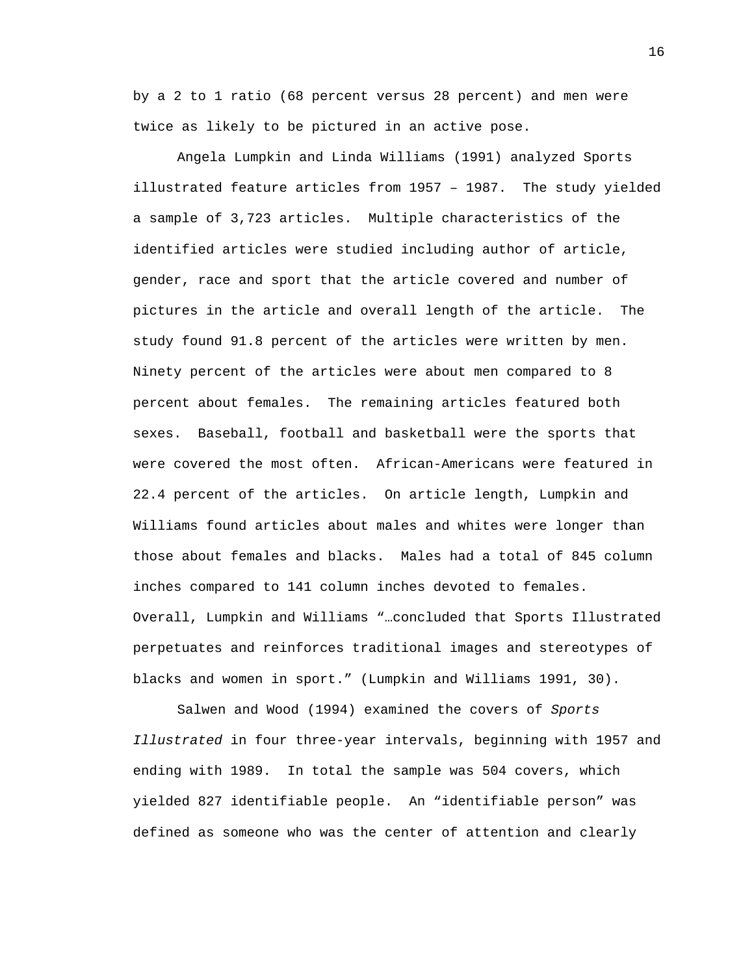by a 2 to 1 ratio (68 percent versus 28 percent) and men were twice as likely to be pictured in an active pose.

Angela Lumpkin and Linda Williams (1991) analyzed Sports illustrated feature articles from 1957 – 1987. The study yielded a sample of 3,723 articles. Multiple characteristics of the identified articles were studied including author of article, gender, race and sport that the article covered and number of pictures in the article and overall length of the article. The study found 91.8 percent of the articles were written by men. Ninety percent of the articles were about men compared to 8 percent about females. The remaining articles featured both sexes. Baseball, football and basketball were the sports that were covered the most often. African-Americans were featured in 22.4 percent of the articles. On article length, Lumpkin and Williams found articles about males and whites were longer than those about females and blacks. Males had a total of 845 column inches compared to 141 column inches devoted to females. Overall, Lumpkin and Williams "…concluded that Sports Illustrated perpetuates and reinforces traditional images and stereotypes of blacks and women in sport." (Lumpkin and Williams 1991, 30).

Salwen and Wood (1994) examined the covers of *Sports Illustrated* in four three-year intervals, beginning with 1957 and ending with 1989. In total the sample was 504 covers, which yielded 827 identifiable people. An "identifiable person" was defined as someone who was the center of attention and clearly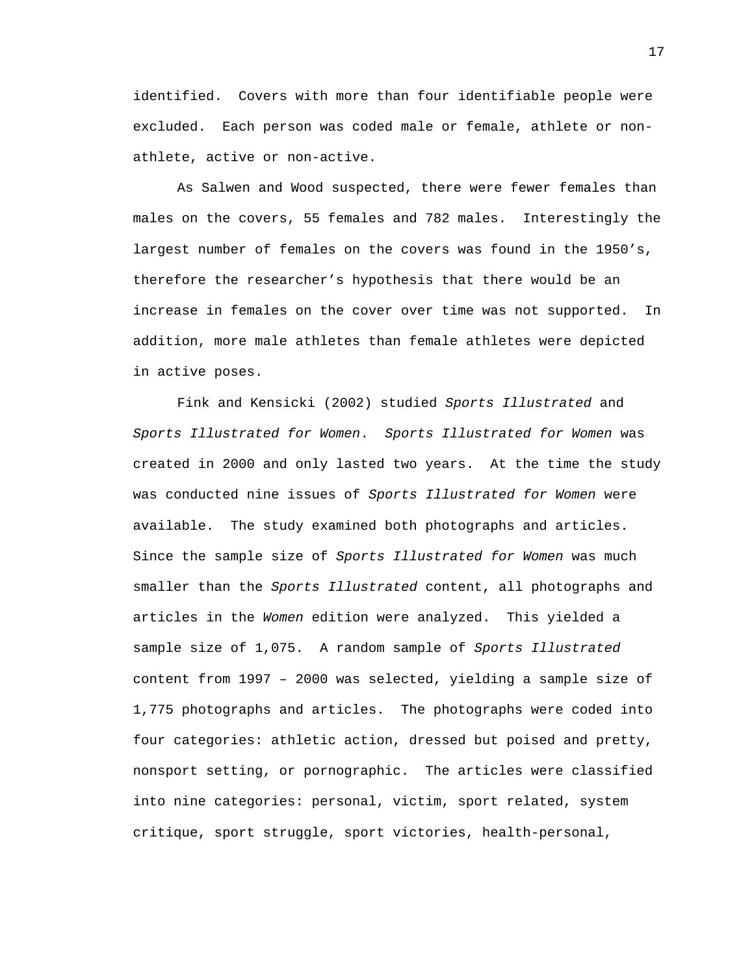identified. Covers with more than four identifiable people were excluded. Each person was coded male or female, athlete or nonathlete, active or non-active.

As Salwen and Wood suspected, there were fewer females than males on the covers, 55 females and 782 males. Interestingly the largest number of females on the covers was found in the 1950's, therefore the researcher's hypothesis that there would be an increase in females on the cover over time was not supported. In addition, more male athletes than female athletes were depicted in active poses.

Fink and Kensicki (2002) studied *Sports Illustrated* and *Sports Illustrated for Women*. *Sports Illustrated for Women* was created in 2000 and only lasted two years. At the time the study was conducted nine issues of *Sports Illustrated for Women* were available. The study examined both photographs and articles. Since the sample size of *Sports Illustrated for Women* was much smaller than the *Sports Illustrated* content, all photographs and articles in the *Women* edition were analyzed. This yielded a sample size of 1,075. A random sample of *Sports Illustrated*  content from 1997 – 2000 was selected, yielding a sample size of 1,775 photographs and articles. The photographs were coded into four categories: athletic action, dressed but poised and pretty, nonsport setting, or pornographic. The articles were classified into nine categories: personal, victim, sport related, system critique, sport struggle, sport victories, health-personal,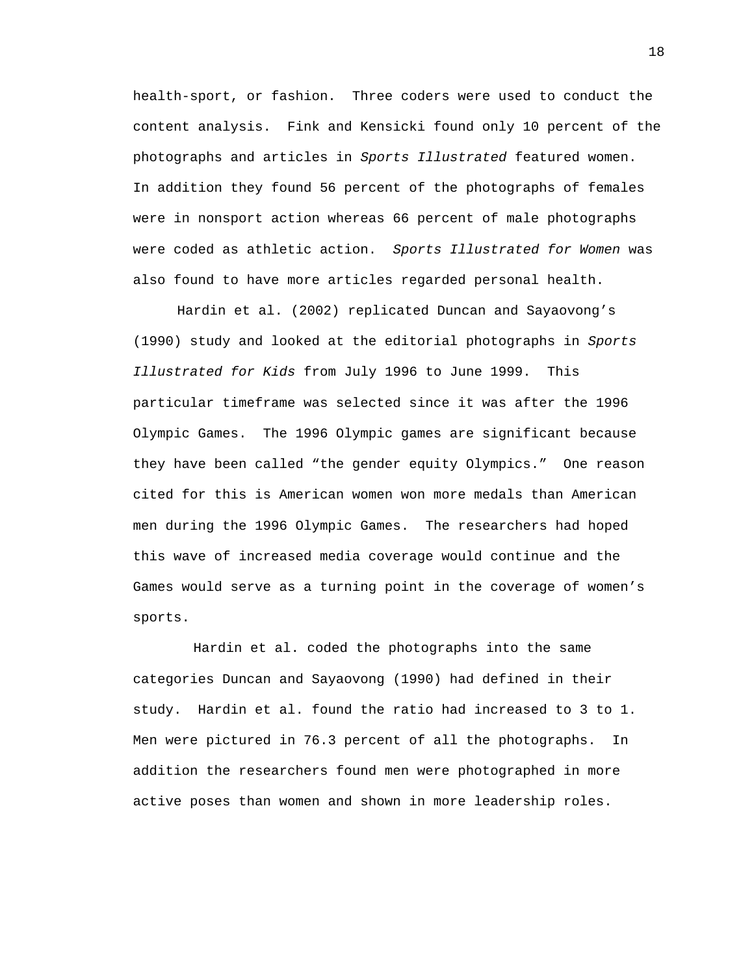health-sport, or fashion. Three coders were used to conduct the content analysis. Fink and Kensicki found only 10 percent of the photographs and articles in *Sports Illustrated* featured women. In addition they found 56 percent of the photographs of females were in nonsport action whereas 66 percent of male photographs were coded as athletic action. *Sports Illustrated for Women* was also found to have more articles regarded personal health.

Hardin et al. (2002) replicated Duncan and Sayaovong's (1990) study and looked at the editorial photographs in *Sports Illustrated for Kids* from July 1996 to June 1999. This particular timeframe was selected since it was after the 1996 Olympic Games. The 1996 Olympic games are significant because they have been called "the gender equity Olympics." One reason cited for this is American women won more medals than American men during the 1996 Olympic Games. The researchers had hoped this wave of increased media coverage would continue and the Games would serve as a turning point in the coverage of women's sports.

 Hardin et al. coded the photographs into the same categories Duncan and Sayaovong (1990) had defined in their study. Hardin et al. found the ratio had increased to 3 to 1. Men were pictured in 76.3 percent of all the photographs. In addition the researchers found men were photographed in more active poses than women and shown in more leadership roles.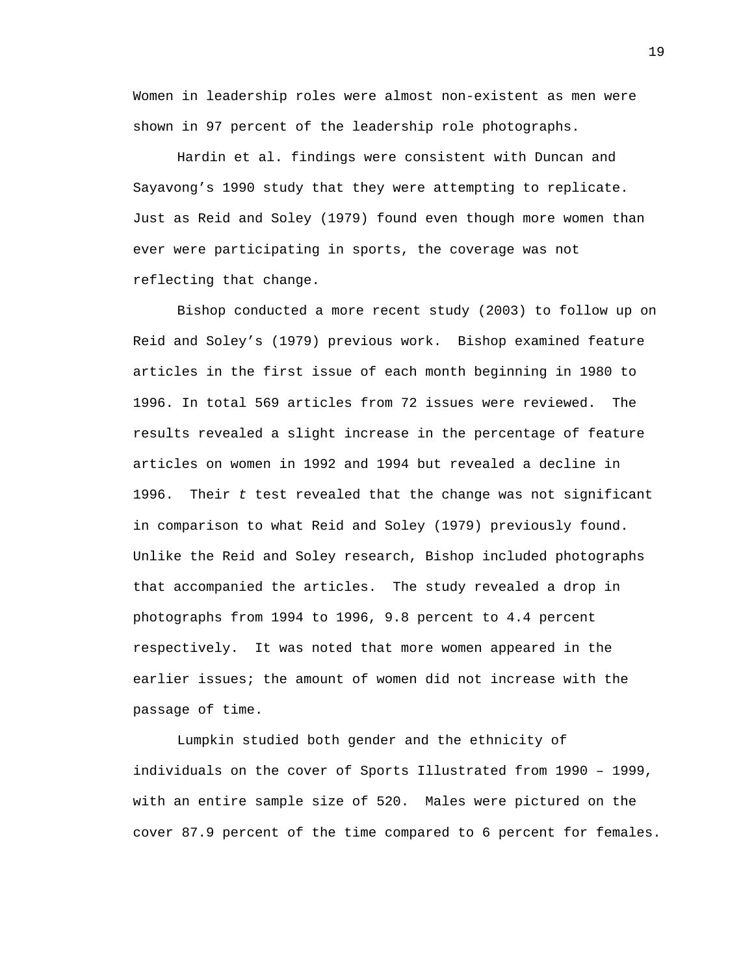Women in leadership roles were almost non-existent as men were shown in 97 percent of the leadership role photographs.

 Hardin et al. findings were consistent with Duncan and Sayavong's 1990 study that they were attempting to replicate. Just as Reid and Soley (1979) found even though more women than ever were participating in sports, the coverage was not reflecting that change.

 Bishop conducted a more recent study (2003) to follow up on Reid and Soley's (1979) previous work. Bishop examined feature articles in the first issue of each month beginning in 1980 to 1996. In total 569 articles from 72 issues were reviewed. The results revealed a slight increase in the percentage of feature articles on women in 1992 and 1994 but revealed a decline in 1996. Their *t* test revealed that the change was not significant in comparison to what Reid and Soley (1979) previously found. Unlike the Reid and Soley research, Bishop included photographs that accompanied the articles. The study revealed a drop in photographs from 1994 to 1996, 9.8 percent to 4.4 percent respectively. It was noted that more women appeared in the earlier issues; the amount of women did not increase with the passage of time.

 Lumpkin studied both gender and the ethnicity of individuals on the cover of Sports Illustrated from 1990 – 1999, with an entire sample size of 520. Males were pictured on the cover 87.9 percent of the time compared to 6 percent for females.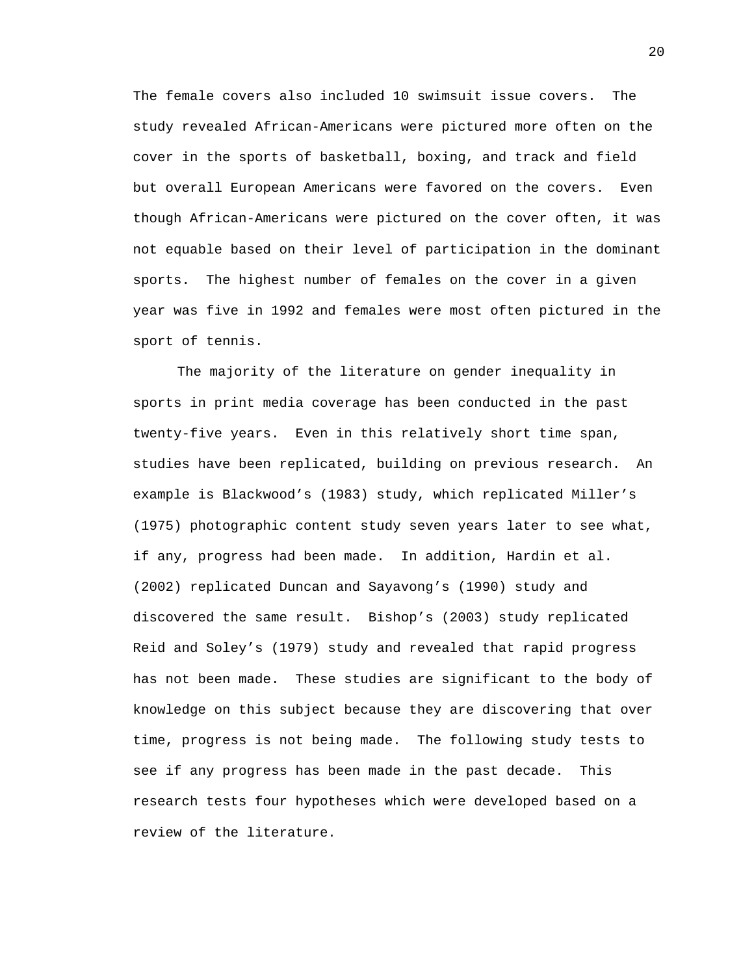The female covers also included 10 swimsuit issue covers. The study revealed African-Americans were pictured more often on the cover in the sports of basketball, boxing, and track and field but overall European Americans were favored on the covers. Even though African-Americans were pictured on the cover often, it was not equable based on their level of participation in the dominant sports. The highest number of females on the cover in a given year was five in 1992 and females were most often pictured in the sport of tennis.

The majority of the literature on gender inequality in sports in print media coverage has been conducted in the past twenty-five years. Even in this relatively short time span, studies have been replicated, building on previous research. An example is Blackwood's (1983) study, which replicated Miller's (1975) photographic content study seven years later to see what, if any, progress had been made. In addition, Hardin et al. (2002) replicated Duncan and Sayavong's (1990) study and discovered the same result. Bishop's (2003) study replicated Reid and Soley's (1979) study and revealed that rapid progress has not been made. These studies are significant to the body of knowledge on this subject because they are discovering that over time, progress is not being made. The following study tests to see if any progress has been made in the past decade. This research tests four hypotheses which were developed based on a review of the literature.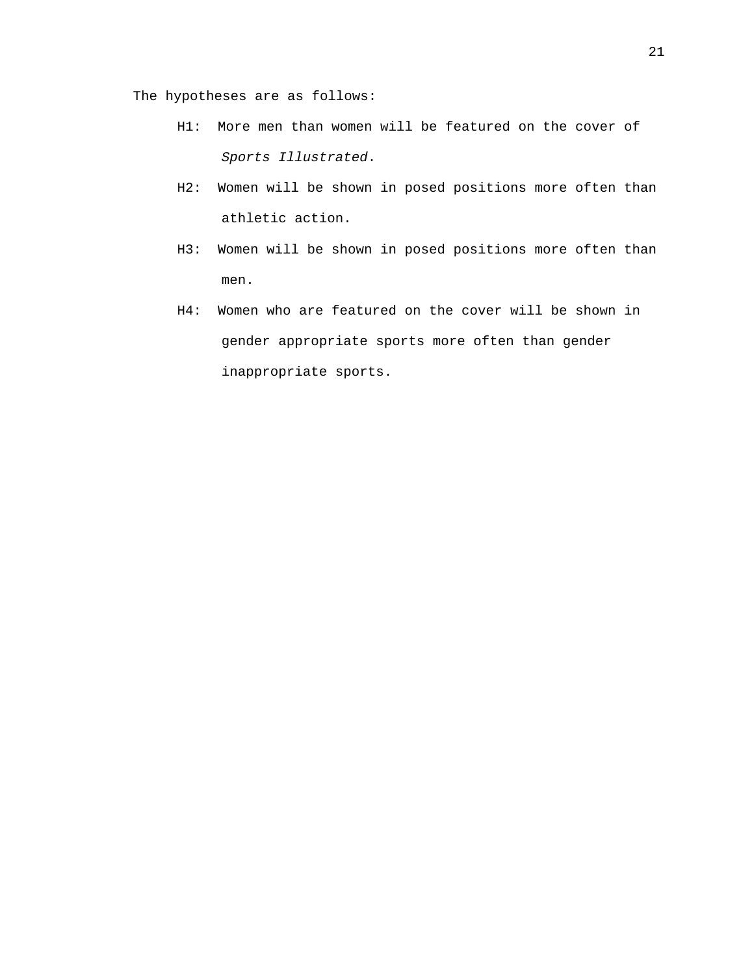The hypotheses are as follows:

- H1: More men than women will be featured on the cover of *Sports Illustrated*.
- H2: Women will be shown in posed positions more often than athletic action.
- H3: Women will be shown in posed positions more often than men.
- H4: Women who are featured on the cover will be shown in gender appropriate sports more often than gender inappropriate sports.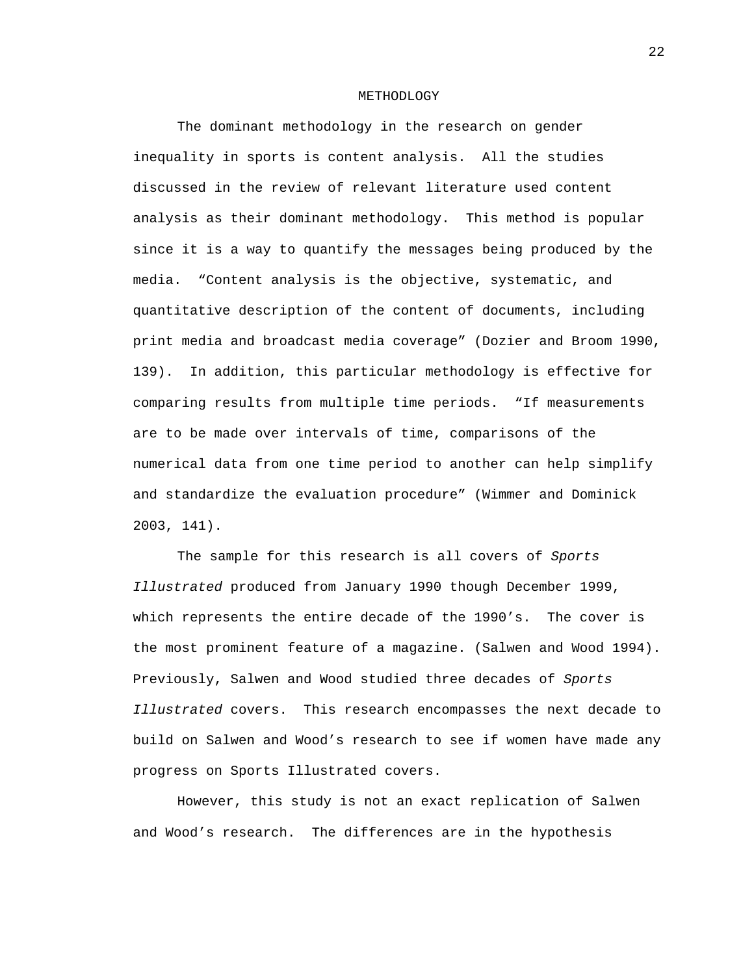#### METHODLOGY

The dominant methodology in the research on gender inequality in sports is content analysis. All the studies discussed in the review of relevant literature used content analysis as their dominant methodology. This method is popular since it is a way to quantify the messages being produced by the media. "Content analysis is the objective, systematic, and quantitative description of the content of documents, including print media and broadcast media coverage" (Dozier and Broom 1990, 139). In addition, this particular methodology is effective for comparing results from multiple time periods. "If measurements are to be made over intervals of time, comparisons of the numerical data from one time period to another can help simplify and standardize the evaluation procedure" (Wimmer and Dominick 2003, 141).

 The sample for this research is all covers of *Sports Illustrated* produced from January 1990 though December 1999, which represents the entire decade of the 1990's. The cover is the most prominent feature of a magazine. (Salwen and Wood 1994). Previously, Salwen and Wood studied three decades of *Sports Illustrated* covers. This research encompasses the next decade to build on Salwen and Wood's research to see if women have made any progress on Sports Illustrated covers.

However, this study is not an exact replication of Salwen and Wood's research. The differences are in the hypothesis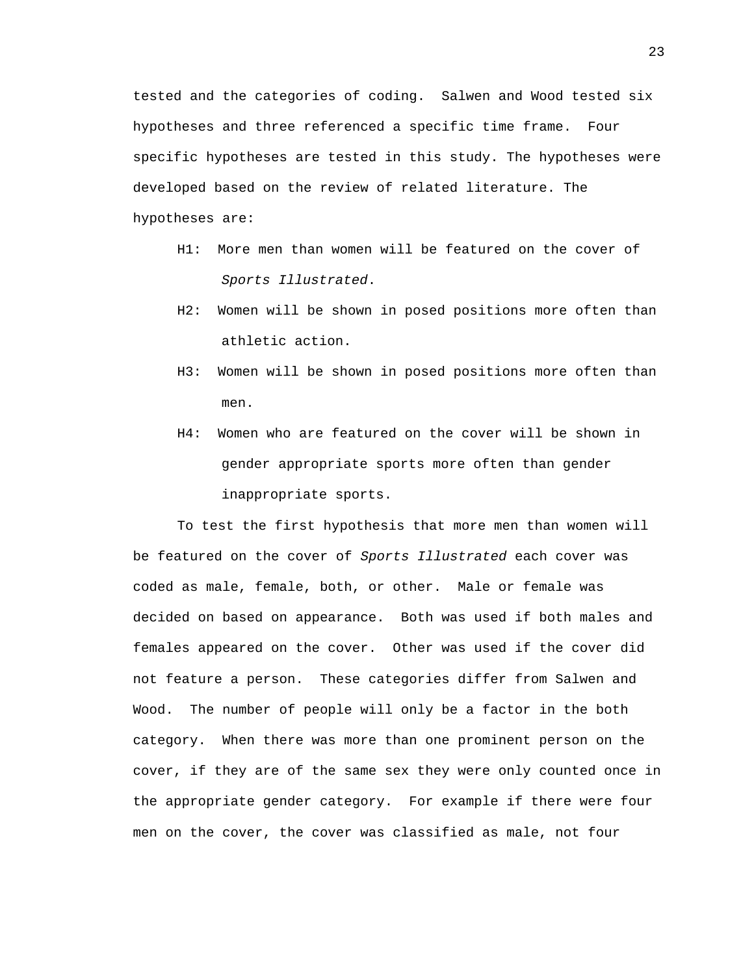tested and the categories of coding. Salwen and Wood tested six hypotheses and three referenced a specific time frame. Four specific hypotheses are tested in this study. The hypotheses were developed based on the review of related literature. The hypotheses are:

- H1: More men than women will be featured on the cover of *Sports Illustrated*.
- H2: Women will be shown in posed positions more often than athletic action.
- H3: Women will be shown in posed positions more often than men.
- H4: Women who are featured on the cover will be shown in gender appropriate sports more often than gender inappropriate sports.

To test the first hypothesis that more men than women will be featured on the cover of *Sports Illustrated* each cover was coded as male, female, both, or other. Male or female was decided on based on appearance. Both was used if both males and females appeared on the cover. Other was used if the cover did not feature a person. These categories differ from Salwen and Wood. The number of people will only be a factor in the both category. When there was more than one prominent person on the cover, if they are of the same sex they were only counted once in the appropriate gender category. For example if there were four men on the cover, the cover was classified as male, not four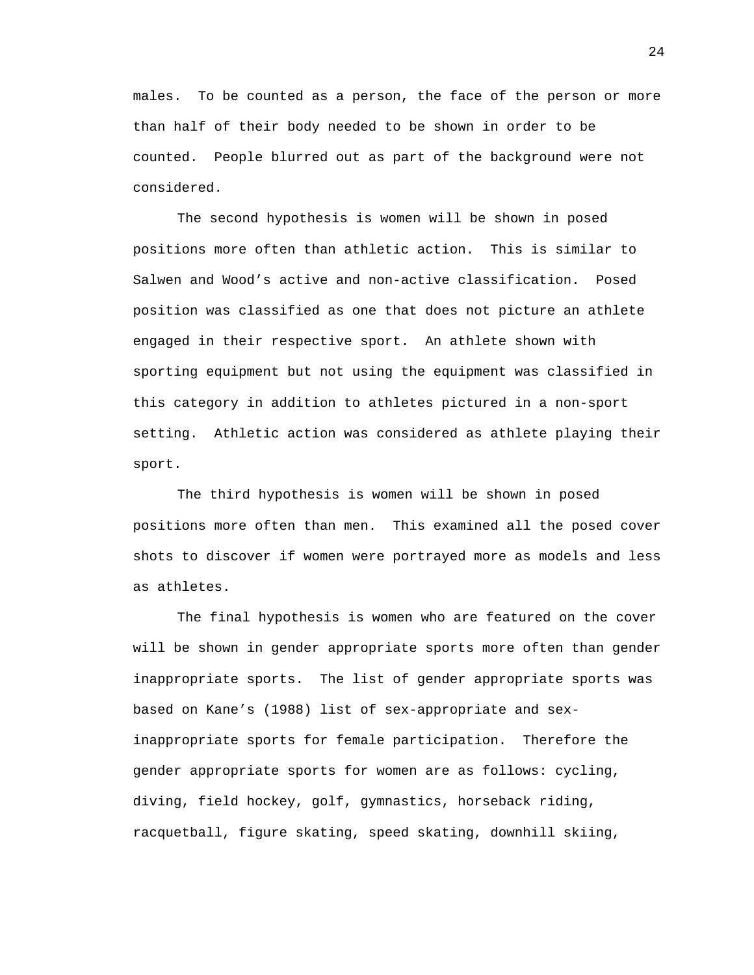males. To be counted as a person, the face of the person or more than half of their body needed to be shown in order to be counted. People blurred out as part of the background were not considered.

The second hypothesis is women will be shown in posed positions more often than athletic action. This is similar to Salwen and Wood's active and non-active classification. Posed position was classified as one that does not picture an athlete engaged in their respective sport. An athlete shown with sporting equipment but not using the equipment was classified in this category in addition to athletes pictured in a non-sport setting. Athletic action was considered as athlete playing their sport.

The third hypothesis is women will be shown in posed positions more often than men. This examined all the posed cover shots to discover if women were portrayed more as models and less as athletes.

The final hypothesis is women who are featured on the cover will be shown in gender appropriate sports more often than gender inappropriate sports. The list of gender appropriate sports was based on Kane's (1988) list of sex-appropriate and sexinappropriate sports for female participation. Therefore the gender appropriate sports for women are as follows: cycling, diving, field hockey, golf, gymnastics, horseback riding, racquetball, figure skating, speed skating, downhill skiing,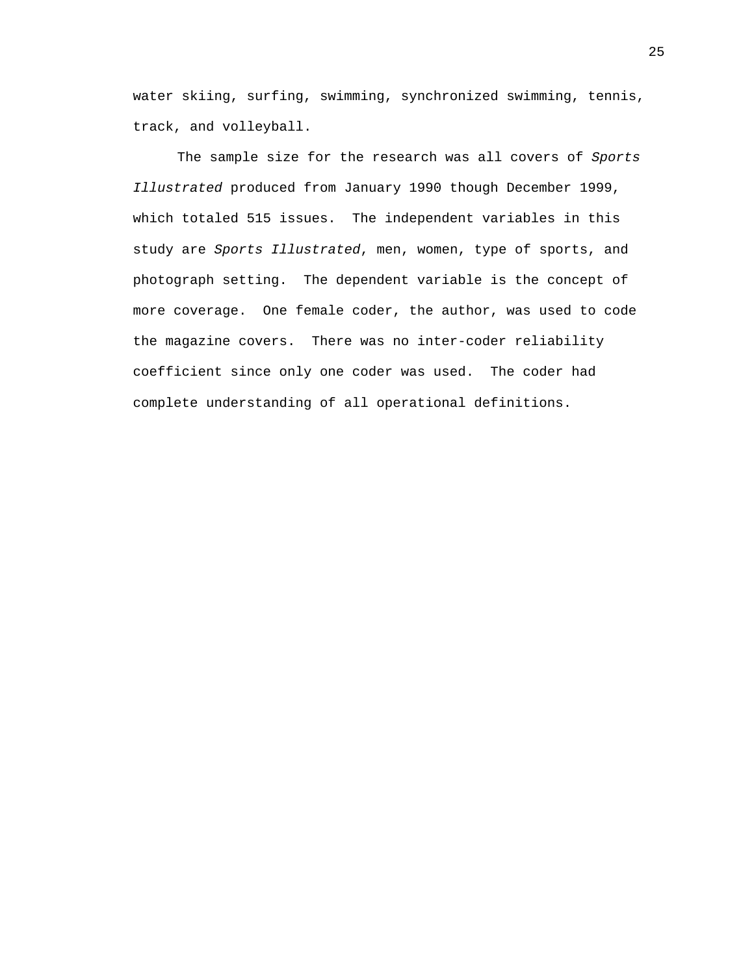water skiing, surfing, swimming, synchronized swimming, tennis, track, and volleyball.

 The sample size for the research was all covers of *Sports Illustrated* produced from January 1990 though December 1999, which totaled 515 issues. The independent variables in this study are *Sports Illustrated*, men, women, type of sports, and photograph setting. The dependent variable is the concept of more coverage. One female coder, the author, was used to code the magazine covers. There was no inter-coder reliability coefficient since only one coder was used. The coder had complete understanding of all operational definitions.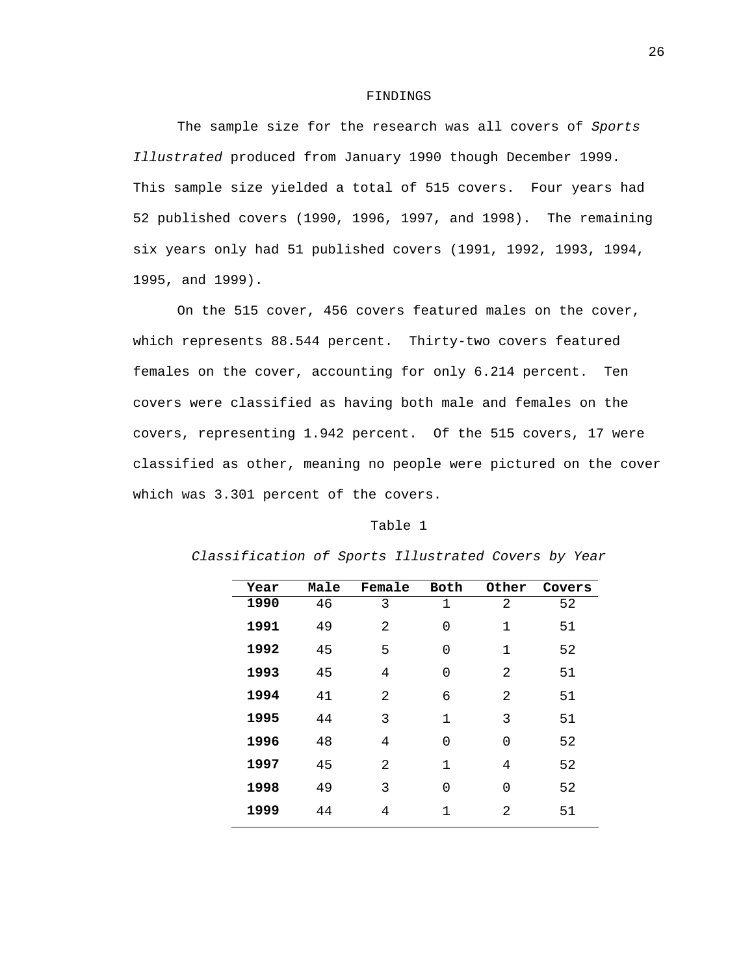#### FINDINGS

 The sample size for the research was all covers of *Sports Illustrated* produced from January 1990 though December 1999. This sample size yielded a total of 515 covers. Four years had 52 published covers (1990, 1996, 1997, and 1998). The remaining six years only had 51 published covers (1991, 1992, 1993, 1994, 1995, and 1999).

 On the 515 cover, 456 covers featured males on the cover, which represents 88.544 percent. Thirty-two covers featured females on the cover, accounting for only 6.214 percent. Ten covers were classified as having both male and females on the covers, representing 1.942 percent. Of the 515 covers, 17 were classified as other, meaning no people were pictured on the cover which was 3.301 percent of the covers.

#### Table 1

| Year | Male | Female | Both         | Other | Covers |
|------|------|--------|--------------|-------|--------|
| 1990 | 46   | 3      | $\mathbf{1}$ | 2     | 52     |
| 1991 | 49   | 2      | 0            | 1     | 51     |
| 1992 | 45   | 5      | 0            | 1     | 52     |
| 1993 | 45   | 4      | 0            | 2     | 51     |
| 1994 | 41   | 2      | 6            | 2     | 51     |
| 1995 | 44   | 3      | $\mathbf 1$  | 3     | 51     |
| 1996 | 48   | 4      | 0            | 0     | 52     |
| 1997 | 45   | 2      | $\mathbf 1$  | 4     | 52     |
| 1998 | 49   | 3      | 0            | 0     | 52     |
| 1999 | 44   | 4      | 1            | 2     | 51     |

*Classification of Sports Illustrated Covers by Year*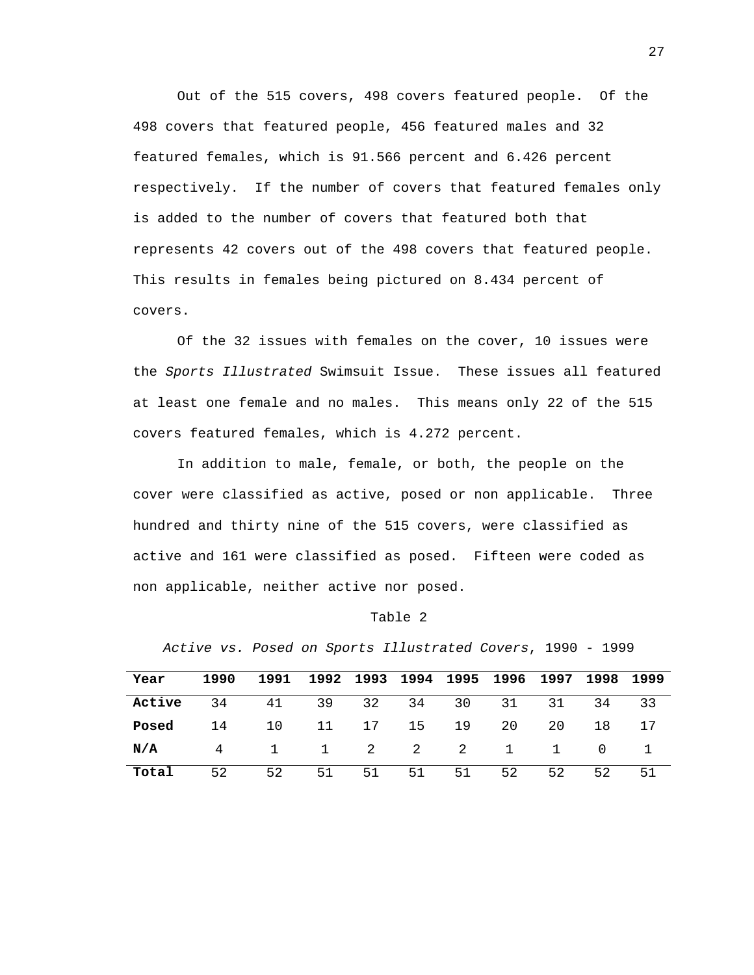Out of the 515 covers, 498 covers featured people. Of the 498 covers that featured people, 456 featured males and 32 featured females, which is 91.566 percent and 6.426 percent respectively. If the number of covers that featured females only is added to the number of covers that featured both that represents 42 covers out of the 498 covers that featured people. This results in females being pictured on 8.434 percent of covers.

 Of the 32 issues with females on the cover, 10 issues were the *Sports Illustrated* Swimsuit Issue. These issues all featured at least one female and no males. This means only 22 of the 515 covers featured females, which is 4.272 percent.

 In addition to male, female, or both, the people on the cover were classified as active, posed or non applicable. Three hundred and thirty nine of the 515 covers, were classified as active and 161 were classified as posed. Fifteen were coded as non applicable, neither active nor posed.

#### Table 2

*Active vs. Posed on Sports Illustrated Covers*, 1990 - 1999

| Year   | 1990 | 1991                 |    |    |    |    | 1992 1993 1994 1995 1996 1997 1998 1999 |    |       |    |
|--------|------|----------------------|----|----|----|----|-----------------------------------------|----|-------|----|
| Active | 34   | 41 39 32 34 30 31 31 |    |    |    |    |                                         |    | 34 33 |    |
| Posed  |      | 14 10 11 17 15 19 20 |    |    |    |    |                                         | 20 | 18    | 17 |
| N/A    |      | 4 1 1 2 2 2 1 1 0 1  |    |    |    |    |                                         |    |       |    |
| Total  | 52   | 52                   | 51 | 51 | 51 | 51 | 52                                      | 52 | 52    | 51 |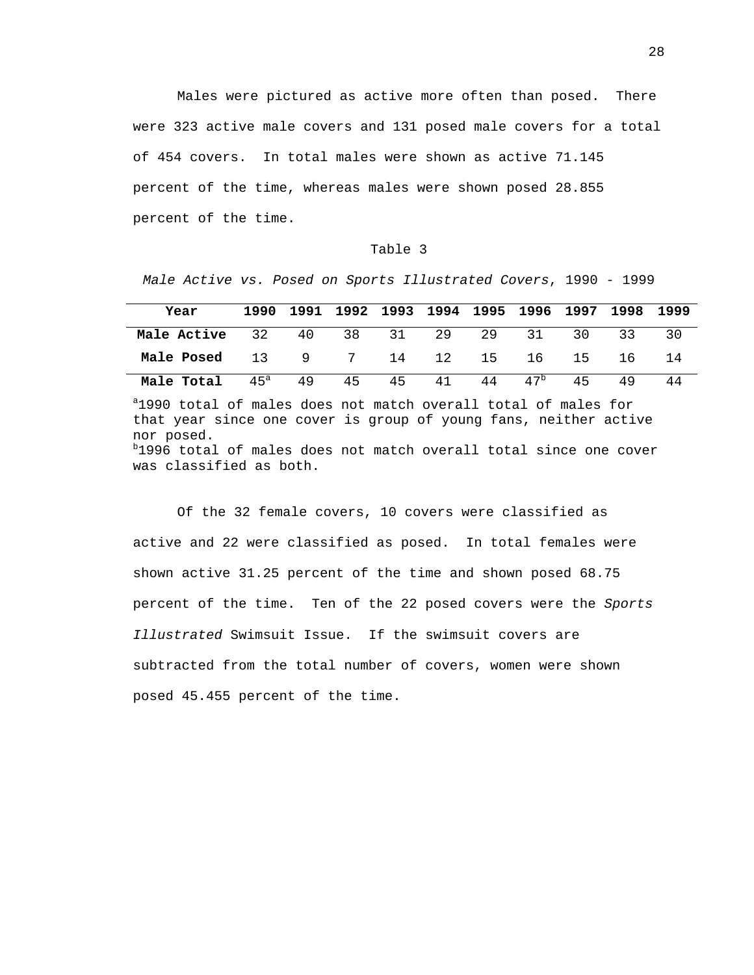Males were pictured as active more often than posed. There were 323 active male covers and 131 posed male covers for a total of 454 covers. In total males were shown as active 71.145 percent of the time, whereas males were shown posed 28.855 percent of the time.

#### Table 3

*Male Active vs. Posed on Sports Illustrated Covers*, 1990 - 1999

| Year                                                               |  |  |  |  | 1990 1991 1992 1993 1994 1995 1996 1997 1998 1999 |    |
|--------------------------------------------------------------------|--|--|--|--|---------------------------------------------------|----|
| Male Active 32 40 38 31 29 29 31 30 33 30                          |  |  |  |  |                                                   |    |
| <b>Male Posed</b> 13 9 7 14 12 15 16 15 16                         |  |  |  |  |                                                   | 14 |
| <b>Male Total</b> $45^a$ $49$ $45$ $45$ $41$ $44$ $47^b$ $45$ $49$ |  |  |  |  |                                                   | 44 |

a 1990 total of males does not match overall total of males for that year since one cover is group of young fans, neither active nor posed. b 1996 total of males does not match overall total since one cover

was classified as both.

Of the 32 female covers, 10 covers were classified as active and 22 were classified as posed. In total females were shown active 31.25 percent of the time and shown posed 68.75 percent of the time. Ten of the 22 posed covers were the *Sports Illustrated* Swimsuit Issue. If the swimsuit covers are subtracted from the total number of covers, women were shown posed 45.455 percent of the time.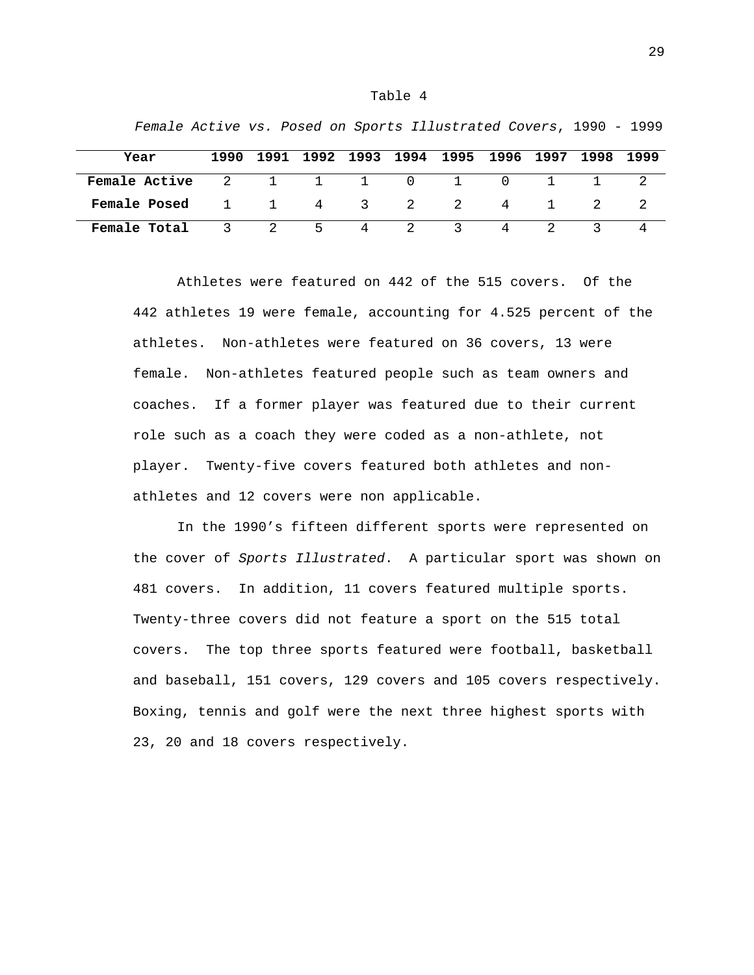#### Table 4

| Year          |   |     |   |           | 1990 1991 1992 1993 1994 1995 1996 1997 1998 1999 |   |        |  |
|---------------|---|-----|---|-----------|---------------------------------------------------|---|--------|--|
| Female Active |   |     |   |           | 2 1 1 1 0 1                                       |   | $\Box$ |  |
| Female Posed  |   |     |   | 1 1 4 3 2 | $\overline{2}$                                    | 4 |        |  |
| Female Total  | 3 | 2 5 | 4 |           | $\sim$ $\sim$                                     |   |        |  |

*Female Active vs. Posed on Sports Illustrated Covers*, 1990 - 1999

Athletes were featured on 442 of the 515 covers. Of the 442 athletes 19 were female, accounting for 4.525 percent of the athletes. Non-athletes were featured on 36 covers, 13 were female. Non-athletes featured people such as team owners and coaches. If a former player was featured due to their current role such as a coach they were coded as a non-athlete, not player. Twenty-five covers featured both athletes and nonathletes and 12 covers were non applicable.

 In the 1990's fifteen different sports were represented on the cover of *Sports Illustrated*. A particular sport was shown on 481 covers. In addition, 11 covers featured multiple sports. Twenty-three covers did not feature a sport on the 515 total covers. The top three sports featured were football, basketball and baseball, 151 covers, 129 covers and 105 covers respectively. Boxing, tennis and golf were the next three highest sports with 23, 20 and 18 covers respectively.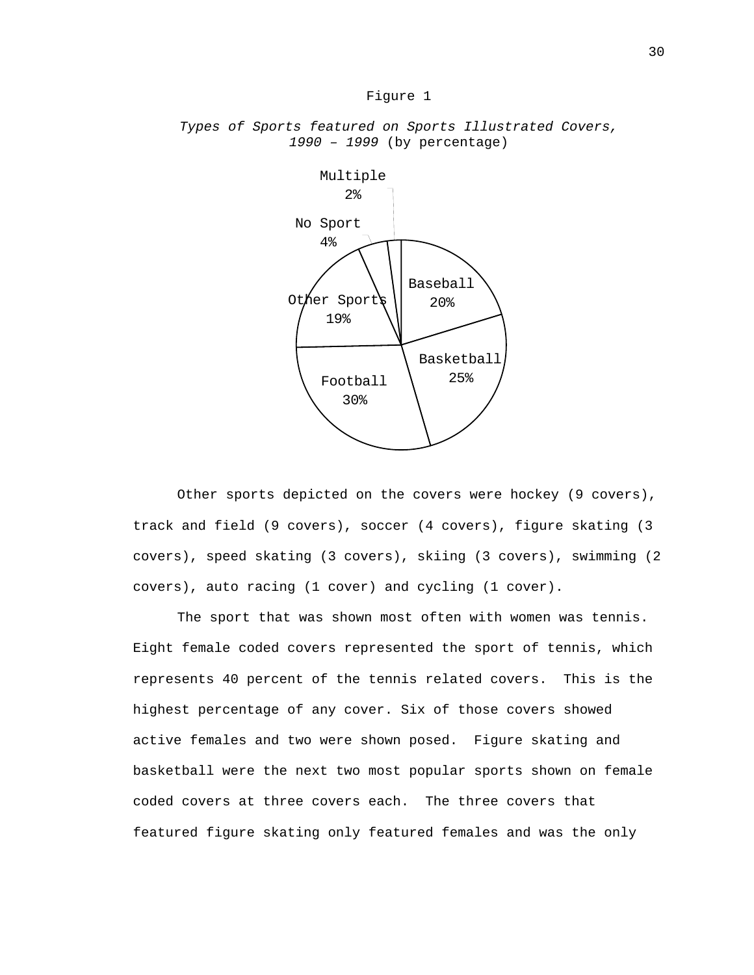#### Figure 1



# *Types of Sports featured on Sports Illustrated Covers, 1990 – 1999* (by percentage)

Other sports depicted on the covers were hockey (9 covers), track and field (9 covers), soccer (4 covers), figure skating (3 covers), speed skating (3 covers), skiing (3 covers), swimming (2 covers), auto racing (1 cover) and cycling (1 cover).

The sport that was shown most often with women was tennis. Eight female coded covers represented the sport of tennis, which represents 40 percent of the tennis related covers. This is the highest percentage of any cover. Six of those covers showed active females and two were shown posed. Figure skating and basketball were the next two most popular sports shown on female coded covers at three covers each. The three covers that featured figure skating only featured females and was the only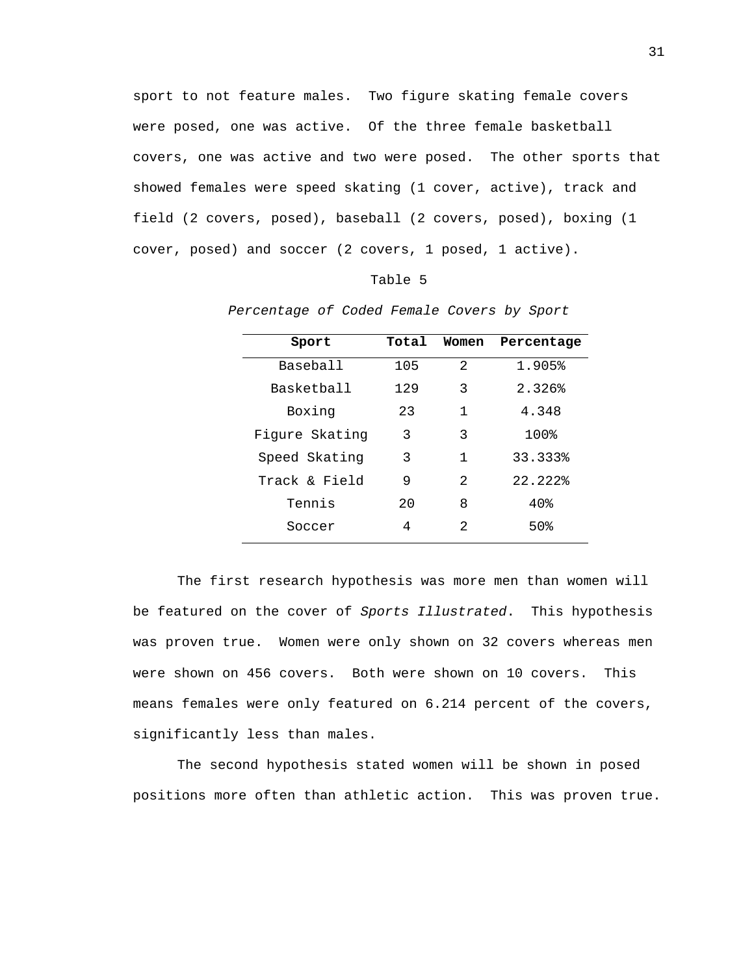sport to not feature males. Two figure skating female covers were posed, one was active. Of the three female basketball covers, one was active and two were posed. The other sports that showed females were speed skating (1 cover, active), track and field (2 covers, posed), baseball (2 covers, posed), boxing (1 cover, posed) and soccer (2 covers, 1 posed, 1 active).

Table 5

| Sport             | Total | Women          | Percentage |
|-------------------|-------|----------------|------------|
| Baseball          | 105   | $\mathfrak{D}$ | 1.905%     |
| <b>Basketball</b> | 129   | 3              | 2.326%     |
| Boxing            | 23    | 1              | 4.348      |
| Fiqure Skatinq    | 3     | 3              | 100%       |
| Speed Skating     | 3     | 1              | 33.333%    |
| Track & Field     | 9     | $\mathfrak{D}$ | 22.222%    |
| Tennis            | 2.0   | 8              | 40%        |
| Soccer            | 4     | 2              | 50%        |

*Percentage of Coded Female Covers by Sport* 

The first research hypothesis was more men than women will be featured on the cover of *Sports Illustrated*. This hypothesis was proven true. Women were only shown on 32 covers whereas men were shown on 456 covers. Both were shown on 10 covers. This means females were only featured on 6.214 percent of the covers, significantly less than males.

The second hypothesis stated women will be shown in posed positions more often than athletic action. This was proven true.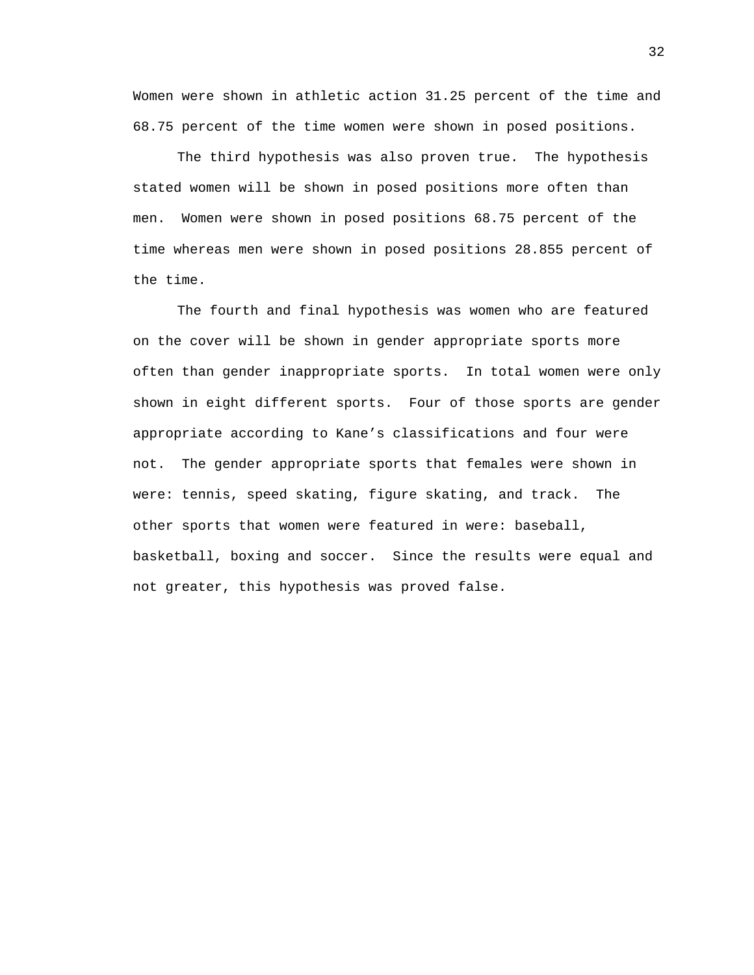Women were shown in athletic action 31.25 percent of the time and 68.75 percent of the time women were shown in posed positions.

The third hypothesis was also proven true. The hypothesis stated women will be shown in posed positions more often than men. Women were shown in posed positions 68.75 percent of the time whereas men were shown in posed positions 28.855 percent of the time.

The fourth and final hypothesis was women who are featured on the cover will be shown in gender appropriate sports more often than gender inappropriate sports. In total women were only shown in eight different sports. Four of those sports are gender appropriate according to Kane's classifications and four were not. The gender appropriate sports that females were shown in were: tennis, speed skating, figure skating, and track. The other sports that women were featured in were: baseball, basketball, boxing and soccer. Since the results were equal and not greater, this hypothesis was proved false.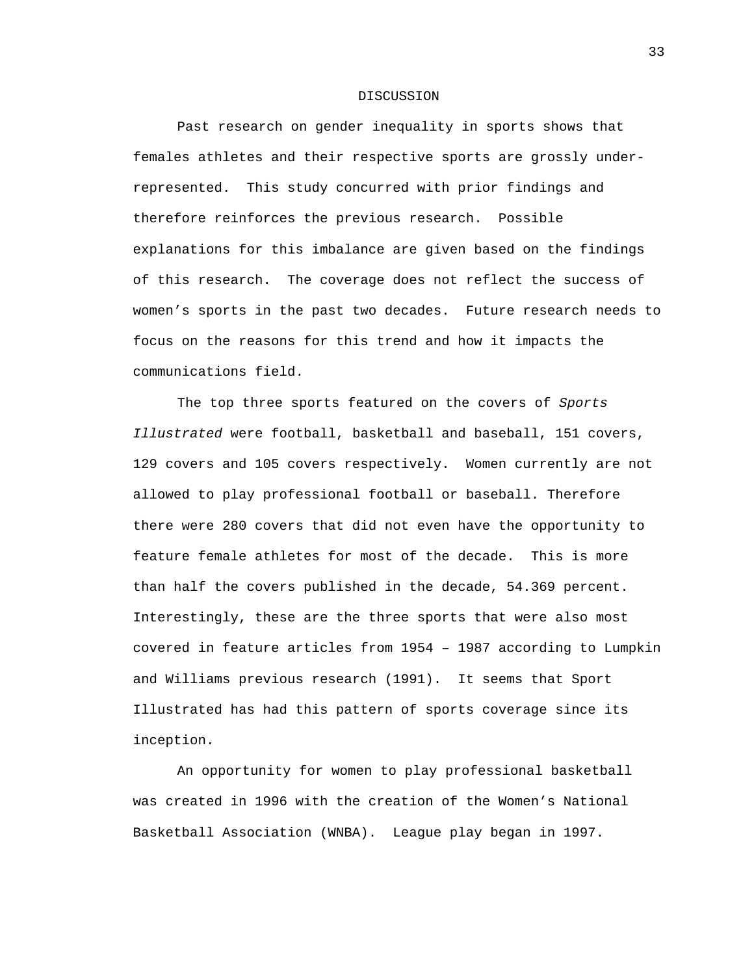#### DISCUSSION

Past research on gender inequality in sports shows that females athletes and their respective sports are grossly underrepresented. This study concurred with prior findings and therefore reinforces the previous research. Possible explanations for this imbalance are given based on the findings of this research. The coverage does not reflect the success of women's sports in the past two decades. Future research needs to focus on the reasons for this trend and how it impacts the communications field.

The top three sports featured on the covers of *Sports Illustrated* were football, basketball and baseball, 151 covers, 129 covers and 105 covers respectively. Women currently are not allowed to play professional football or baseball. Therefore there were 280 covers that did not even have the opportunity to feature female athletes for most of the decade. This is more than half the covers published in the decade, 54.369 percent. Interestingly, these are the three sports that were also most covered in feature articles from 1954 – 1987 according to Lumpkin and Williams previous research (1991). It seems that Sport Illustrated has had this pattern of sports coverage since its inception.

An opportunity for women to play professional basketball was created in 1996 with the creation of the Women's National Basketball Association (WNBA). League play began in 1997.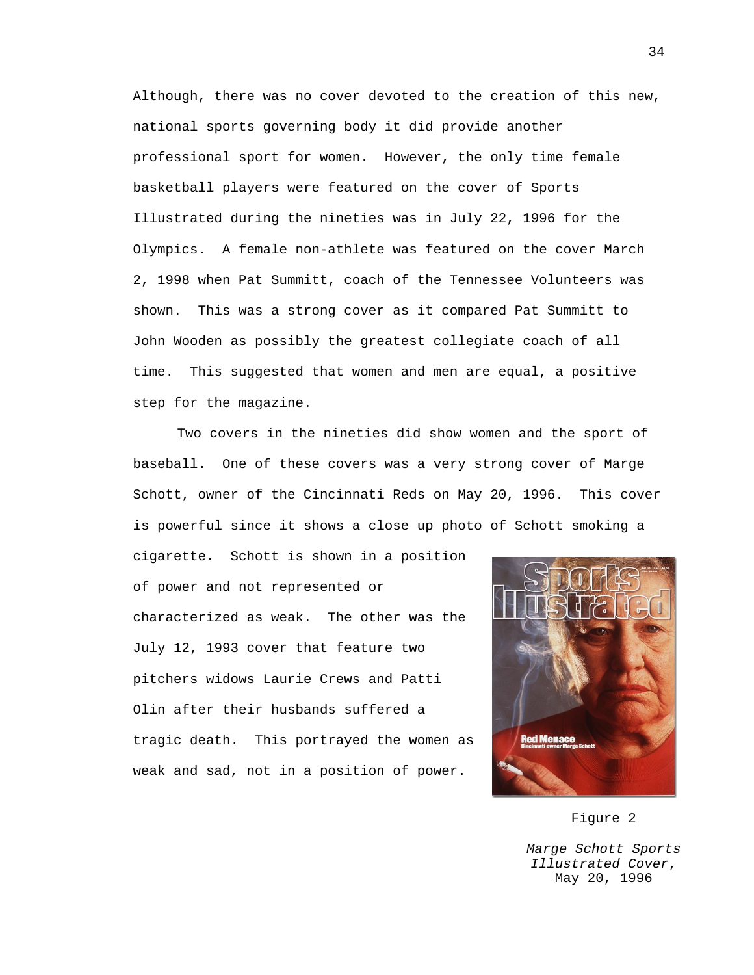Although, there was no cover devoted to the creation of this new, national sports governing body it did provide another professional sport for women. However, the only time female basketball players were featured on the cover of Sports Illustrated during the nineties was in July 22, 1996 for the Olympics. A female non-athlete was featured on the cover March 2, 1998 when Pat Summitt, coach of the Tennessee Volunteers was shown. This was a strong cover as it compared Pat Summitt to John Wooden as possibly the greatest collegiate coach of all time. This suggested that women and men are equal, a positive step for the magazine.

Two covers in the nineties did show women and the sport of baseball. One of these covers was a very strong cover of Marge Schott, owner of the Cincinnati Reds on May 20, 1996. This cover is powerful since it shows a close up photo of Schott smoking a

cigarette. Schott is shown in a position of power and not represented or characterized as weak. The other was the July 12, 1993 cover that feature two pitchers widows Laurie Crews and Patti Olin after their husbands suffered a tragic death. This portrayed the women as weak and sad, not in a position of power.



# Figure 2

*Marge Schott Sports Illustrated Cover*, May 20, 1996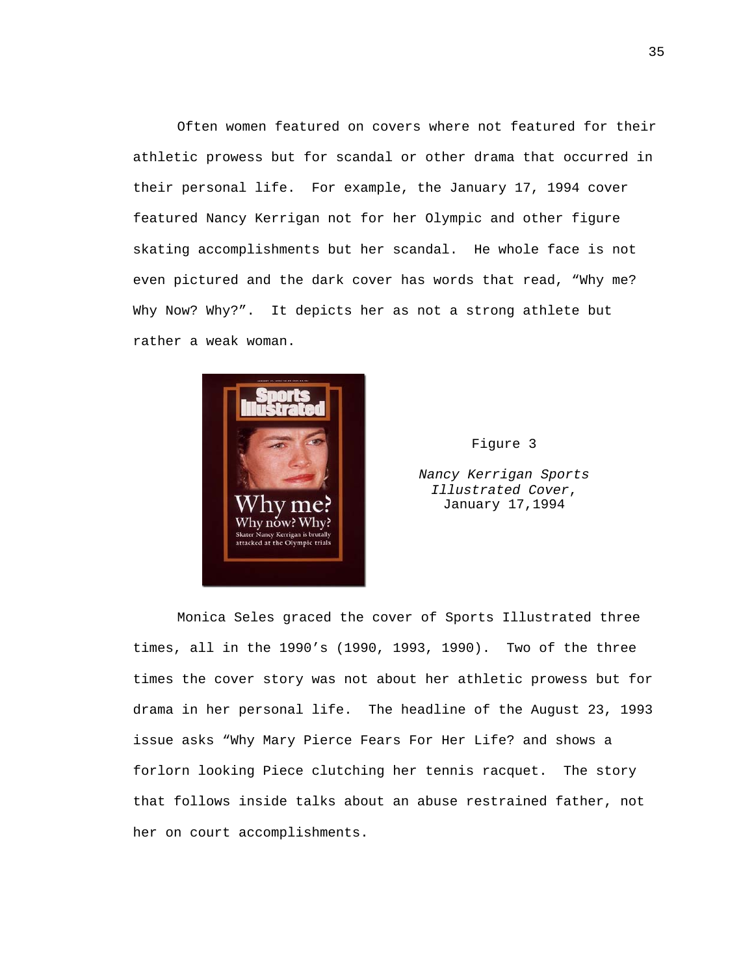Often women featured on covers where not featured for their athletic prowess but for scandal or other drama that occurred in their personal life. For example, the January 17, 1994 cover featured Nancy Kerrigan not for her Olympic and other figure skating accomplishments but her scandal. He whole face is not even pictured and the dark cover has words that read, "Why me? Why Now? Why?". It depicts her as not a strong athlete but rather a weak woman.



Figure 3

*Nancy Kerrigan Sports Illustrated Cover*, January 17,1994

Monica Seles graced the cover of Sports Illustrated three times, all in the 1990's (1990, 1993, 1990). Two of the three times the cover story was not about her athletic prowess but for drama in her personal life. The headline of the August 23, 1993 issue asks "Why Mary Pierce Fears For Her Life? and shows a forlorn looking Piece clutching her tennis racquet. The story that follows inside talks about an abuse restrained father, not her on court accomplishments.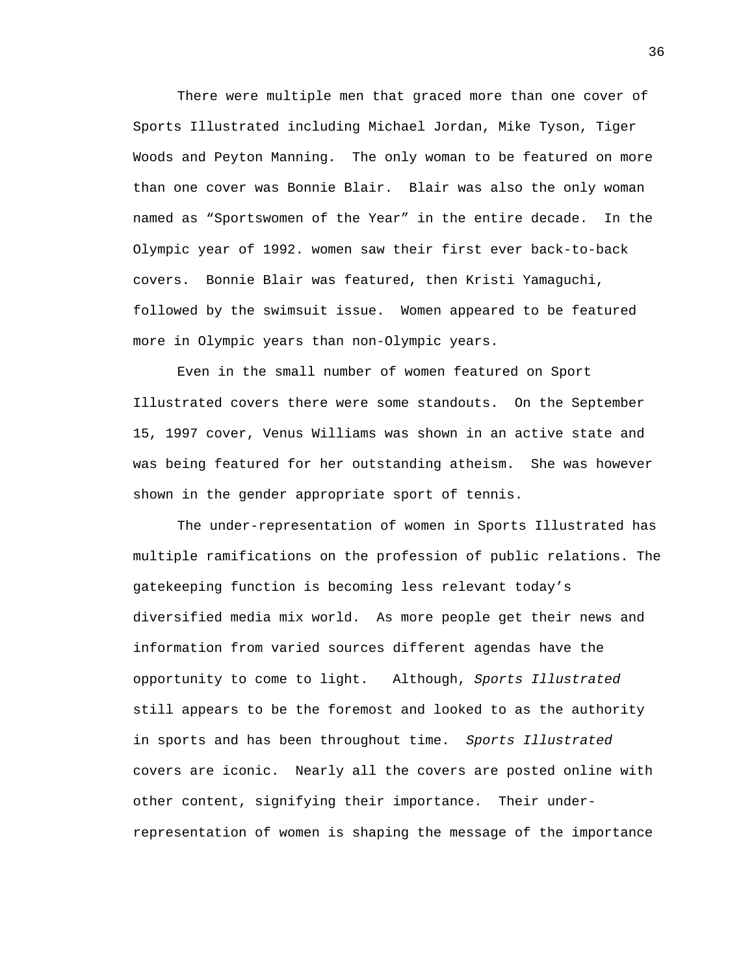There were multiple men that graced more than one cover of Sports Illustrated including Michael Jordan, Mike Tyson, Tiger Woods and Peyton Manning. The only woman to be featured on more than one cover was Bonnie Blair. Blair was also the only woman named as "Sportswomen of the Year" in the entire decade. In the Olympic year of 1992. women saw their first ever back-to-back covers. Bonnie Blair was featured, then Kristi Yamaguchi, followed by the swimsuit issue. Women appeared to be featured more in Olympic years than non-Olympic years.

 Even in the small number of women featured on Sport Illustrated covers there were some standouts. On the September 15, 1997 cover, Venus Williams was shown in an active state and was being featured for her outstanding atheism. She was however shown in the gender appropriate sport of tennis.

The under-representation of women in Sports Illustrated has multiple ramifications on the profession of public relations. The gatekeeping function is becoming less relevant today's diversified media mix world. As more people get their news and information from varied sources different agendas have the opportunity to come to light. Although, *Sports Illustrated* still appears to be the foremost and looked to as the authority in sports and has been throughout time. *Sports Illustrated* covers are iconic. Nearly all the covers are posted online with other content, signifying their importance. Their underrepresentation of women is shaping the message of the importance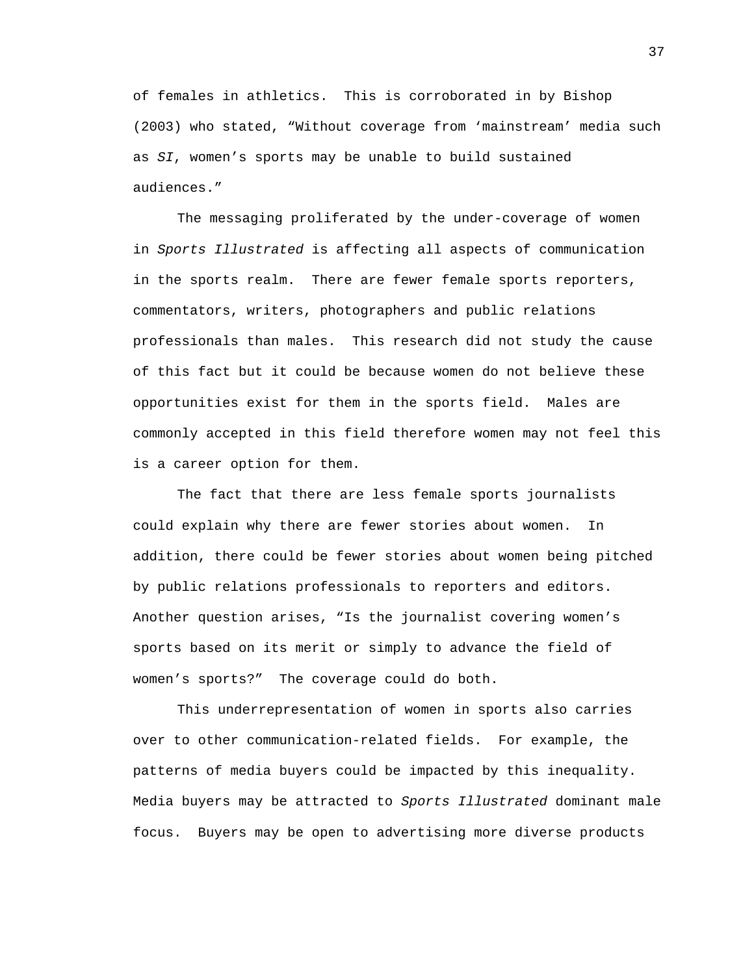of females in athletics. This is corroborated in by Bishop (2003) who stated, "Without coverage from 'mainstream' media such as *SI*, women's sports may be unable to build sustained audiences."

The messaging proliferated by the under-coverage of women in *Sports Illustrated* is affecting all aspects of communication in the sports realm. There are fewer female sports reporters, commentators, writers, photographers and public relations professionals than males. This research did not study the cause of this fact but it could be because women do not believe these opportunities exist for them in the sports field. Males are commonly accepted in this field therefore women may not feel this is a career option for them.

The fact that there are less female sports journalists could explain why there are fewer stories about women. In addition, there could be fewer stories about women being pitched by public relations professionals to reporters and editors. Another question arises, "Is the journalist covering women's sports based on its merit or simply to advance the field of women's sports?" The coverage could do both.

 This underrepresentation of women in sports also carries over to other communication-related fields. For example, the patterns of media buyers could be impacted by this inequality. Media buyers may be attracted to *Sports Illustrated* dominant male focus. Buyers may be open to advertising more diverse products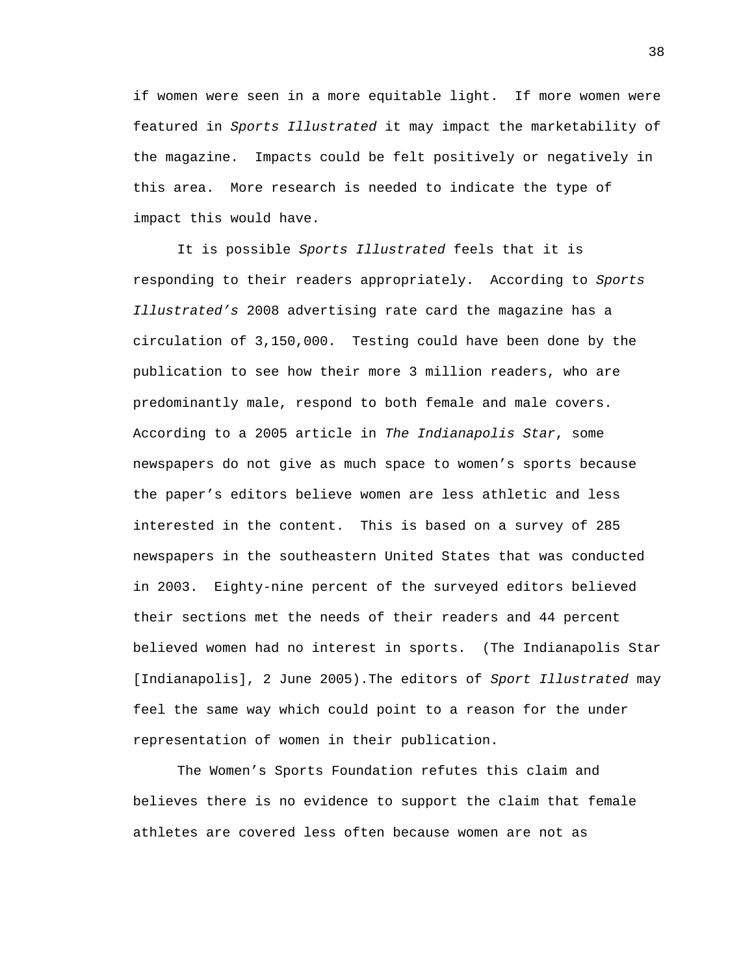if women were seen in a more equitable light. If more women were featured in *Sports Illustrated* it may impact the marketability of the magazine. Impacts could be felt positively or negatively in this area. More research is needed to indicate the type of impact this would have.

It is possible *Sports Illustrated* feels that it is responding to their readers appropriately. According to *Sports Illustrated's* 2008 advertising rate card the magazine has a circulation of 3,150,000. Testing could have been done by the publication to see how their more 3 million readers, who are predominantly male, respond to both female and male covers. According to a 2005 article in *The Indianapolis Star*, some newspapers do not give as much space to women's sports because the paper's editors believe women are less athletic and less interested in the content. This is based on a survey of 285 newspapers in the southeastern United States that was conducted in 2003. Eighty-nine percent of the surveyed editors believed their sections met the needs of their readers and 44 percent believed women had no interest in sports. (The Indianapolis Star [Indianapolis], 2 June 2005).The editors of *Sport Illustrated* may feel the same way which could point to a reason for the under representation of women in their publication.

The Women's Sports Foundation refutes this claim and believes there is no evidence to support the claim that female athletes are covered less often because women are not as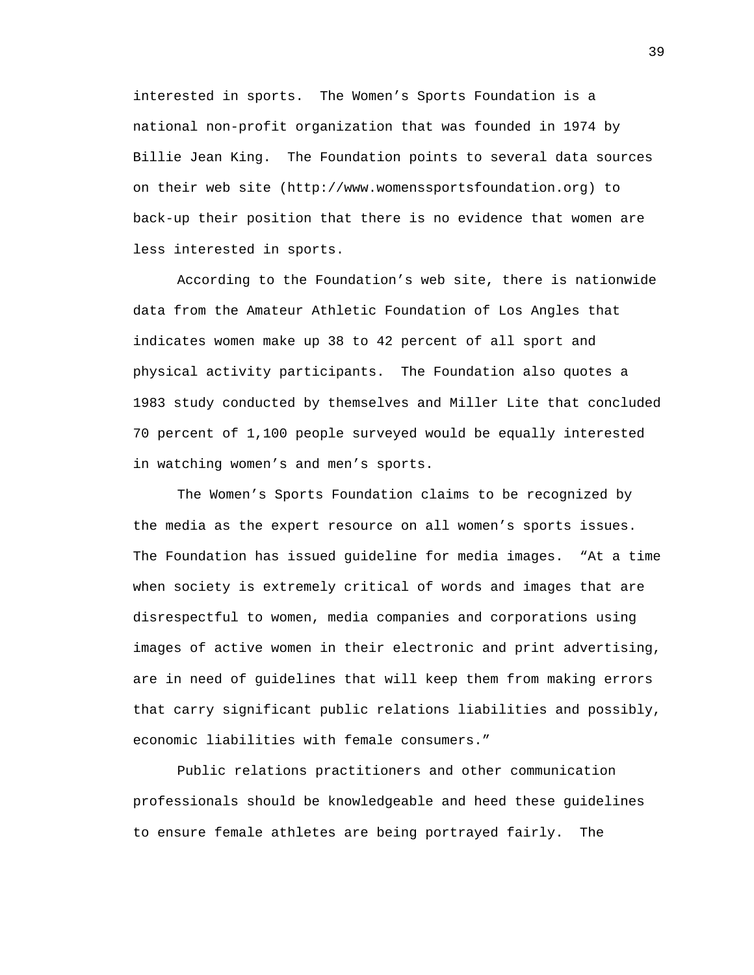interested in sports. The Women's Sports Foundation is a national non-profit organization that was founded in 1974 by Billie Jean King. The Foundation points to several data sources on their web site (http://www.womenssportsfoundation.org) to back-up their position that there is no evidence that women are less interested in sports.

According to the Foundation's web site, there is nationwide data from the Amateur Athletic Foundation of Los Angles that indicates women make up 38 to 42 percent of all sport and physical activity participants. The Foundation also quotes a 1983 study conducted by themselves and Miller Lite that concluded 70 percent of 1,100 people surveyed would be equally interested in watching women's and men's sports.

The Women's Sports Foundation claims to be recognized by the media as the expert resource on all women's sports issues. The Foundation has issued guideline for media images. "At a time when society is extremely critical of words and images that are disrespectful to women, media companies and corporations using images of active women in their electronic and print advertising, are in need of guidelines that will keep them from making errors that carry significant public relations liabilities and possibly, economic liabilities with female consumers."

Public relations practitioners and other communication professionals should be knowledgeable and heed these guidelines to ensure female athletes are being portrayed fairly. The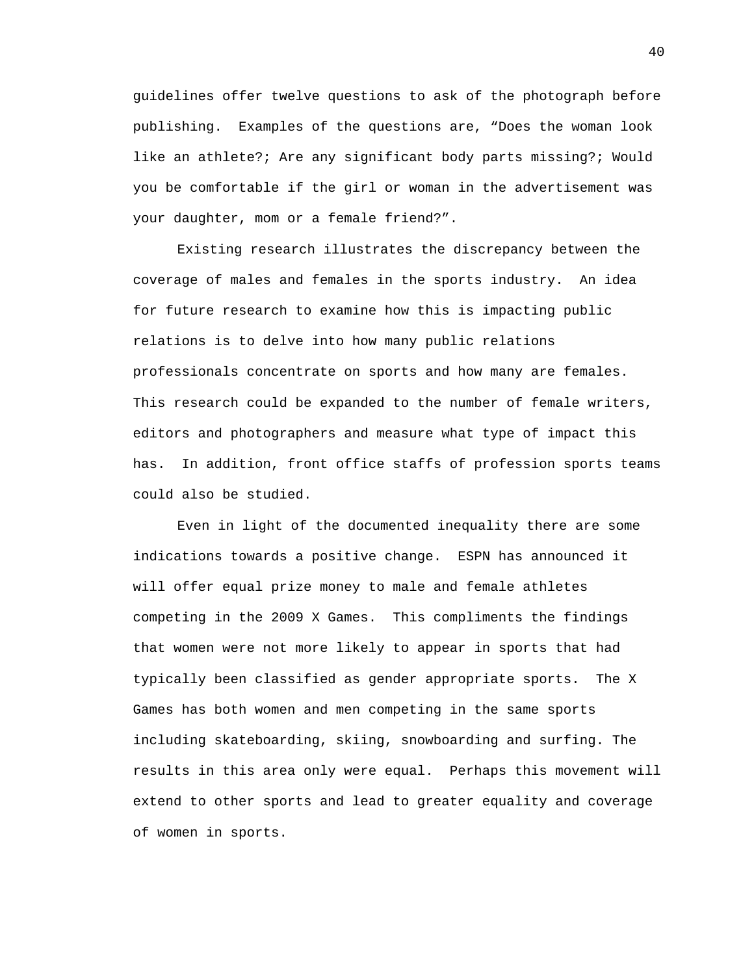guidelines offer twelve questions to ask of the photograph before publishing. Examples of the questions are, "Does the woman look like an athlete?; Are any significant body parts missing?; Would you be comfortable if the girl or woman in the advertisement was your daughter, mom or a female friend?".

 Existing research illustrates the discrepancy between the coverage of males and females in the sports industry. An idea for future research to examine how this is impacting public relations is to delve into how many public relations professionals concentrate on sports and how many are females. This research could be expanded to the number of female writers, editors and photographers and measure what type of impact this has. In addition, front office staffs of profession sports teams could also be studied.

Even in light of the documented inequality there are some indications towards a positive change. ESPN has announced it will offer equal prize money to male and female athletes competing in the 2009 X Games. This compliments the findings that women were not more likely to appear in sports that had typically been classified as gender appropriate sports. The X Games has both women and men competing in the same sports including skateboarding, skiing, snowboarding and surfing. The results in this area only were equal. Perhaps this movement will extend to other sports and lead to greater equality and coverage of women in sports.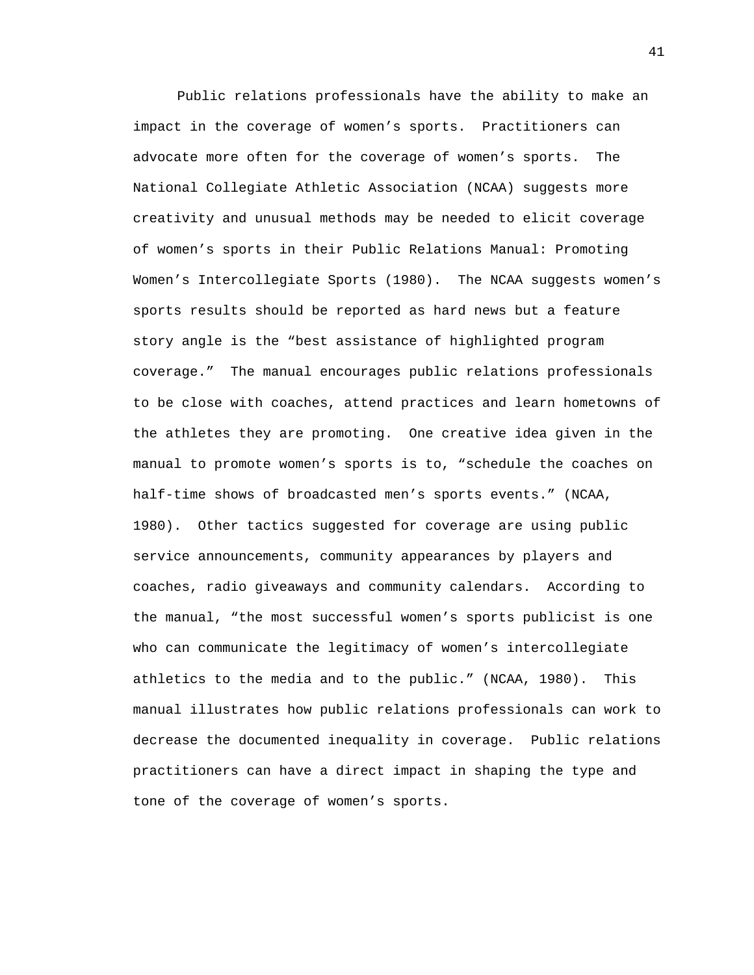Public relations professionals have the ability to make an impact in the coverage of women's sports. Practitioners can advocate more often for the coverage of women's sports. The National Collegiate Athletic Association (NCAA) suggests more creativity and unusual methods may be needed to elicit coverage of women's sports in their Public Relations Manual: Promoting Women's Intercollegiate Sports (1980). The NCAA suggests women's sports results should be reported as hard news but a feature story angle is the "best assistance of highlighted program coverage." The manual encourages public relations professionals to be close with coaches, attend practices and learn hometowns of the athletes they are promoting. One creative idea given in the manual to promote women's sports is to, "schedule the coaches on half-time shows of broadcasted men's sports events." (NCAA, 1980). Other tactics suggested for coverage are using public service announcements, community appearances by players and coaches, radio giveaways and community calendars. According to the manual, "the most successful women's sports publicist is one who can communicate the legitimacy of women's intercollegiate athletics to the media and to the public." (NCAA, 1980). This manual illustrates how public relations professionals can work to decrease the documented inequality in coverage. Public relations practitioners can have a direct impact in shaping the type and tone of the coverage of women's sports.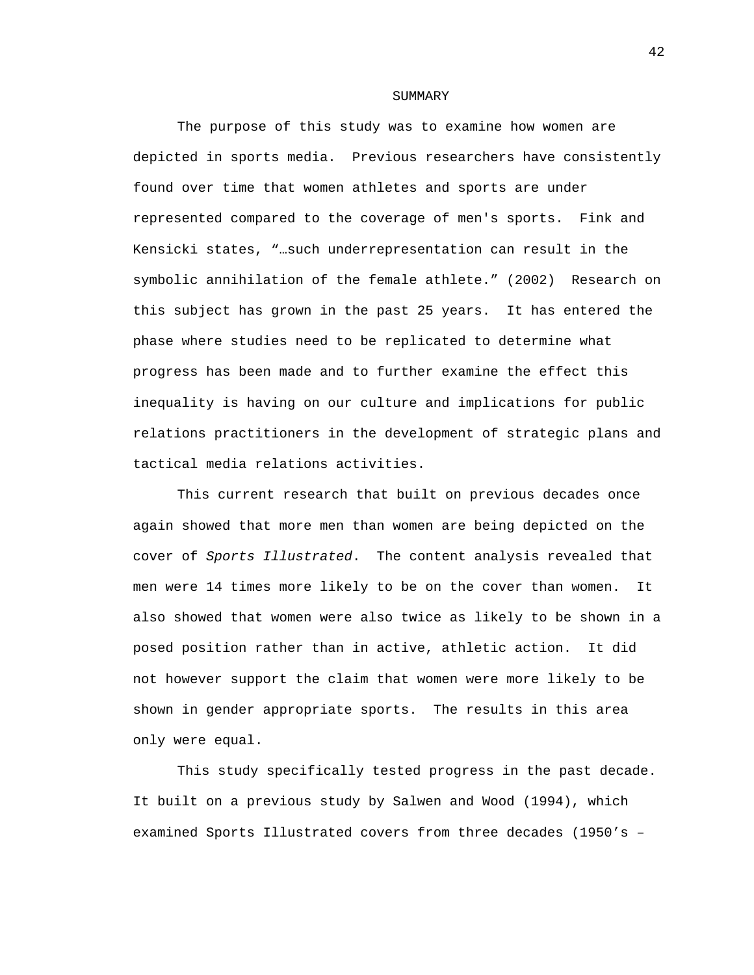#### SUMMARY

The purpose of this study was to examine how women are depicted in sports media. Previous researchers have consistently found over time that women athletes and sports are under represented compared to the coverage of men's sports. Fink and Kensicki states, "…such underrepresentation can result in the symbolic annihilation of the female athlete." (2002) Research on this subject has grown in the past 25 years. It has entered the phase where studies need to be replicated to determine what progress has been made and to further examine the effect this inequality is having on our culture and implications for public relations practitioners in the development of strategic plans and tactical media relations activities.

This current research that built on previous decades once again showed that more men than women are being depicted on the cover of *Sports Illustrated*. The content analysis revealed that men were 14 times more likely to be on the cover than women. It also showed that women were also twice as likely to be shown in a posed position rather than in active, athletic action. It did not however support the claim that women were more likely to be shown in gender appropriate sports. The results in this area only were equal.

This study specifically tested progress in the past decade. It built on a previous study by Salwen and Wood (1994), which examined Sports Illustrated covers from three decades (1950's –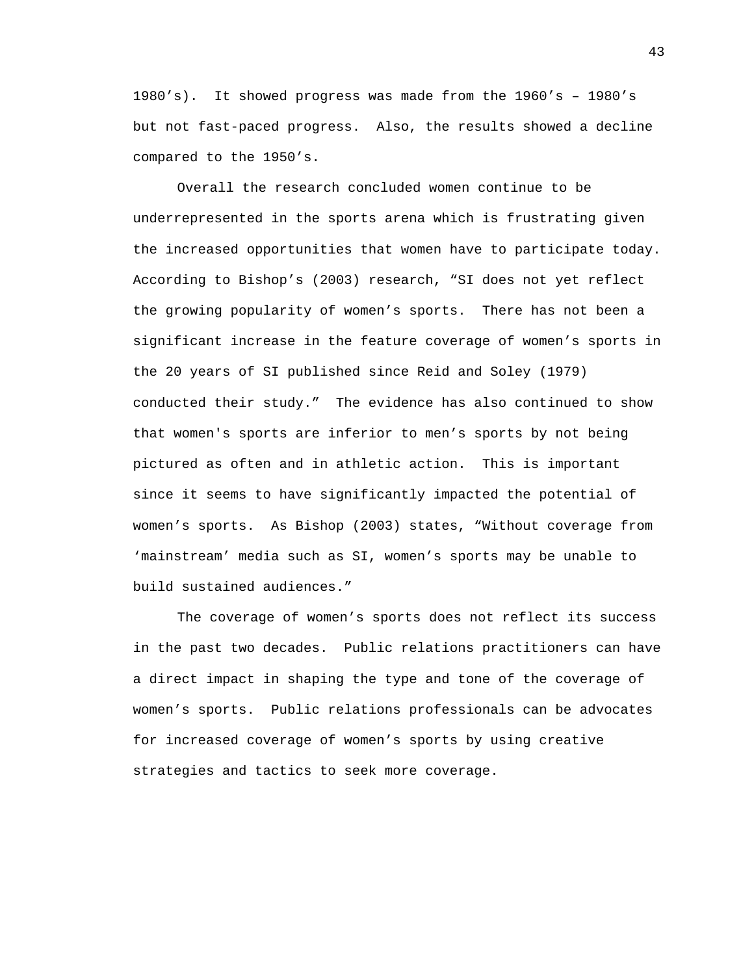1980's). It showed progress was made from the 1960's – 1980's but not fast-paced progress. Also, the results showed a decline compared to the 1950's.

Overall the research concluded women continue to be underrepresented in the sports arena which is frustrating given the increased opportunities that women have to participate today. According to Bishop's (2003) research, "SI does not yet reflect the growing popularity of women's sports. There has not been a significant increase in the feature coverage of women's sports in the 20 years of SI published since Reid and Soley (1979) conducted their study." The evidence has also continued to show that women's sports are inferior to men's sports by not being pictured as often and in athletic action. This is important since it seems to have significantly impacted the potential of women's sports. As Bishop (2003) states, "Without coverage from 'mainstream' media such as SI, women's sports may be unable to build sustained audiences."

The coverage of women's sports does not reflect its success in the past two decades. Public relations practitioners can have a direct impact in shaping the type and tone of the coverage of women's sports. Public relations professionals can be advocates for increased coverage of women's sports by using creative strategies and tactics to seek more coverage.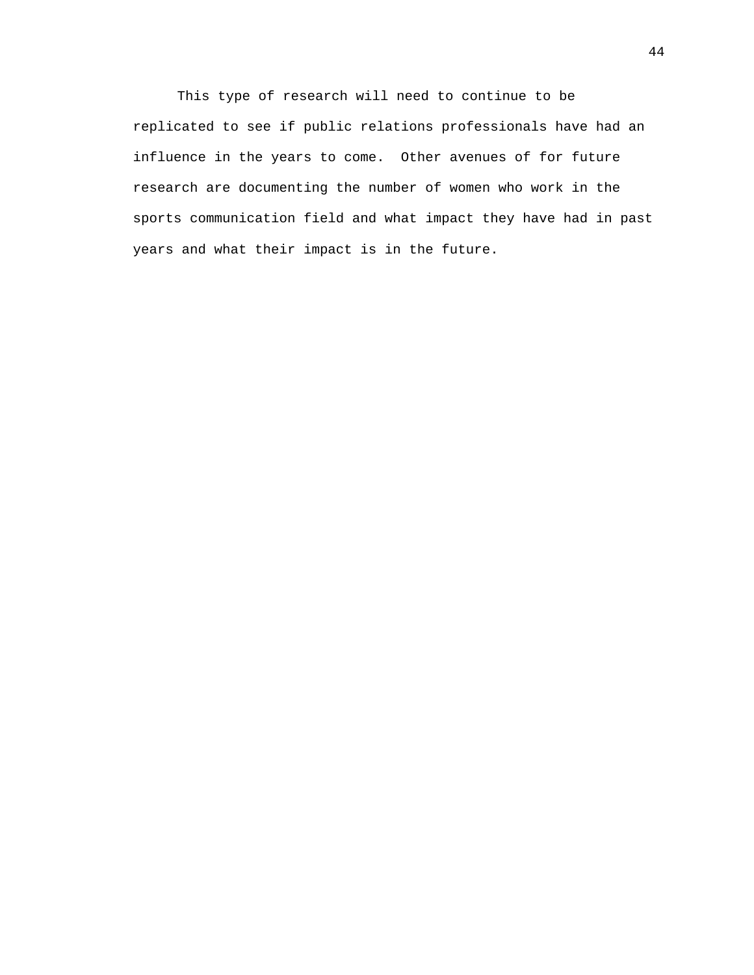This type of research will need to continue to be replicated to see if public relations professionals have had an influence in the years to come. Other avenues of for future research are documenting the number of women who work in the sports communication field and what impact they have had in past years and what their impact is in the future.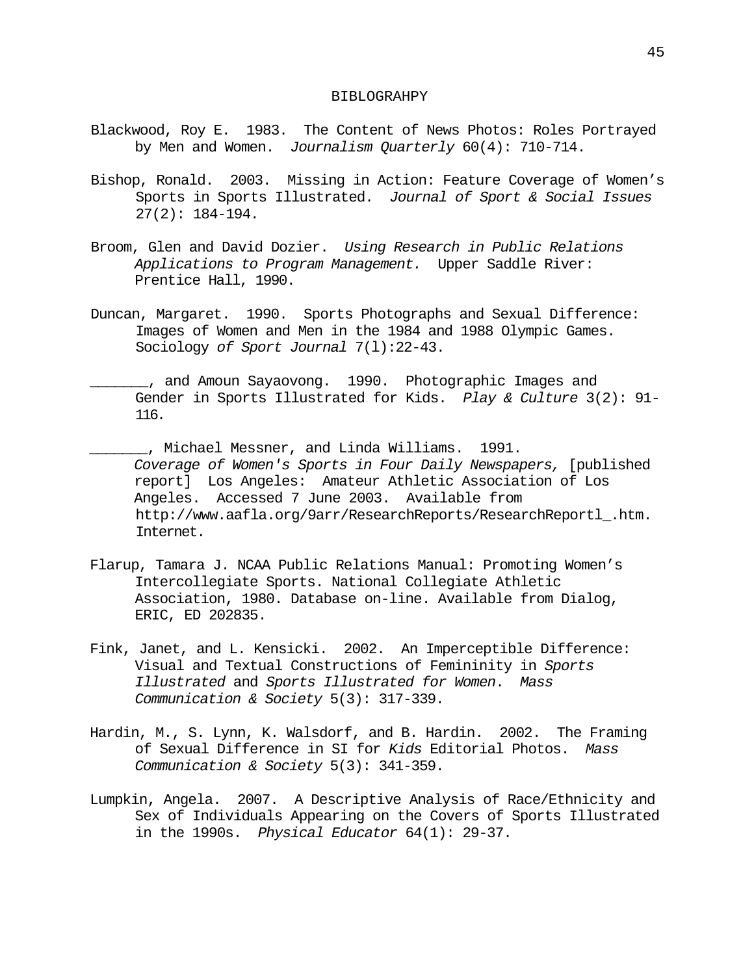#### BIBLOGRAHPY

- Blackwood, Roy E. 1983. The Content of News Photos: Roles Portrayed by Men and Women. *Journalism Quarterly* 60(4): 710-714.
- Bishop, Ronald. 2003. Missing in Action: Feature Coverage of Women's Sports in Sports Illustrated. *Journal of Sport & Social Issues*  $27(2): 184-194.$
- Broom, Glen and David Dozier. *Using Research in Public Relations Applications to Program Management.* Upper Saddle River: Prentice Hall, 1990.
- Duncan, Margaret. 1990. Sports Photographs and Sexual Difference: Images of Women and Men in the 1984 and 1988 Olympic Games. Sociology *of Sport Journal* 7(l):22-43.
- \_\_\_\_\_\_\_, and Amoun Sayaovong. 1990. Photographic Images and Gender in Sports Illustrated for Kids. *Play & Culture* 3(2): 91- 116.
- \_\_\_\_\_\_\_, Michael Messner, and Linda Williams. 1991. *Coverage of Women's Sports in Four Daily Newspapers,* [published report] Los Angeles: Amateur Athletic Association of Los Angeles. Accessed 7 June 2003. Available from http://www.aafla.org/9arr/ResearchReports/ResearchReportl\_.htm. Internet.
- Flarup, Tamara J. NCAA Public Relations Manual: Promoting Women's Intercollegiate Sports. National Collegiate Athletic Association, 1980. Database on-line. Available from Dialog, ERIC, ED 202835.
- Fink, Janet, and L. Kensicki. 2002. An Imperceptible Difference: Visual and Textual Constructions of Femininity in *Sports Illustrated* and *Sports Illustrated for Women*. *Mass Communication & Society* 5(3): 317-339.
- Hardin, M., S. Lynn, K. Walsdorf, and B. Hardin. 2002. The Framing of Sexual Difference in SI for *Kids* Editorial Photos. *Mass Communication & Society* 5(3): 341-359.
- Lumpkin, Angela. 2007. A Descriptive Analysis of Race/Ethnicity and Sex of Individuals Appearing on the Covers of Sports Illustrated in the 1990s. *Physical Educator* 64(1): 29-37.